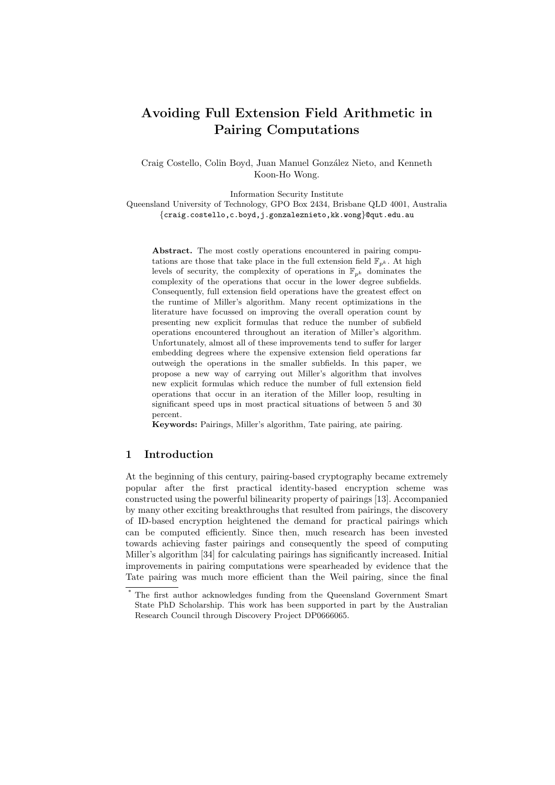# Avoiding Full Extension Field Arithmetic in Pairing Computations

Craig Costello, Colin Boyd, Juan Manuel González Nieto, and Kenneth Koon-Ho Wong.

Information Security Institute

Queensland University of Technology, GPO Box 2434, Brisbane QLD 4001, Australia {craig.costello,c.boyd,j.gonzaleznieto,kk.wong}@qut.edu.au

Abstract. The most costly operations encountered in pairing computations are those that take place in the full extension field  $\mathbb{F}_{n^k}$ . At high levels of security, the complexity of operations in  $\mathbb{F}_{p^k}$  dominates the complexity of the operations that occur in the lower degree subfields. Consequently, full extension field operations have the greatest effect on the runtime of Miller's algorithm. Many recent optimizations in the literature have focussed on improving the overall operation count by presenting new explicit formulas that reduce the number of subfield operations encountered throughout an iteration of Miller's algorithm. Unfortunately, almost all of these improvements tend to suffer for larger embedding degrees where the expensive extension field operations far outweigh the operations in the smaller subfields. In this paper, we propose a new way of carrying out Miller's algorithm that involves new explicit formulas which reduce the number of full extension field operations that occur in an iteration of the Miller loop, resulting in significant speed ups in most practical situations of between 5 and 30 percent.

Keywords: Pairings, Miller's algorithm, Tate pairing, ate pairing.

## 1 Introduction

At the beginning of this century, pairing-based cryptography became extremely popular after the first practical identity-based encryption scheme was constructed using the powerful bilinearity property of pairings [13]. Accompanied by many other exciting breakthroughs that resulted from pairings, the discovery of ID-based encryption heightened the demand for practical pairings which can be computed efficiently. Since then, much research has been invested towards achieving faster pairings and consequently the speed of computing Miller's algorithm [34] for calculating pairings has significantly increased. Initial improvements in pairing computations were spearheaded by evidence that the Tate pairing was much more efficient than the Weil pairing, since the final

The first author acknowledges funding from the Queensland Government Smart State PhD Scholarship. This work has been supported in part by the Australian Research Council through Discovery Project DP0666065.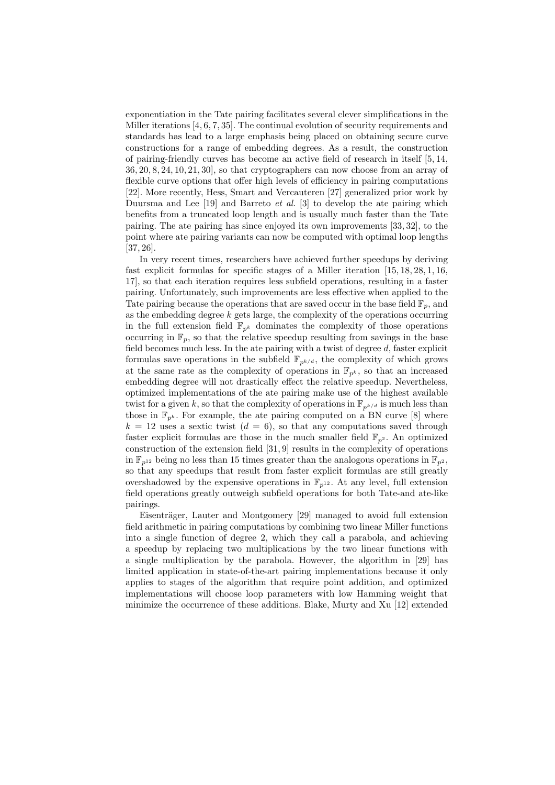exponentiation in the Tate pairing facilitates several clever simplifications in the Miller iterations [4, 6, 7, 35]. The continual evolution of security requirements and standards has lead to a large emphasis being placed on obtaining secure curve constructions for a range of embedding degrees. As a result, the construction of pairing-friendly curves has become an active field of research in itself [5, 14, 36, 20, 8, 24, 10, 21, 30], so that cryptographers can now choose from an array of flexible curve options that offer high levels of efficiency in pairing computations [22]. More recently, Hess, Smart and Vercauteren [27] generalized prior work by Duursma and Lee  $[19]$  and Barreto *et al.* [3] to develop the ate pairing which benefits from a truncated loop length and is usually much faster than the Tate pairing. The ate pairing has since enjoyed its own improvements [33, 32], to the point where ate pairing variants can now be computed with optimal loop lengths [37, 26].

In very recent times, researchers have achieved further speedups by deriving fast explicit formulas for specific stages of a Miller iteration [15, 18, 28, 1, 16, 17], so that each iteration requires less subfield operations, resulting in a faster pairing. Unfortunately, such improvements are less effective when applied to the Tate pairing because the operations that are saved occur in the base field  $\mathbb{F}_p$ , and as the embedding degree  $k$  gets large, the complexity of the operations occurring in the full extension field  $\mathbb{F}_{n^k}$  dominates the complexity of those operations occurring in  $\mathbb{F}_p$ , so that the relative speedup resulting from savings in the base field becomes much less. In the ate pairing with a twist of degree  $d$ , faster explicit formulas save operations in the subfield  $\mathbb{F}_{p^{k/d}}$ , the complexity of which grows at the same rate as the complexity of operations in  $\mathbb{F}_{p^k}$ , so that an increased embedding degree will not drastically effect the relative speedup. Nevertheless, optimized implementations of the ate pairing make use of the highest available twist for a given k, so that the complexity of operations in  $\mathbb{F}_{n^{k}/d}$  is much less than those in  $\mathbb{F}_{p^k}$ . For example, the ate pairing computed on a BN curve [8] where  $k = 12$  uses a sextic twist  $(d = 6)$ , so that any computations saved through faster explicit formulas are those in the much smaller field  $\mathbb{F}_{p^2}$ . An optimized construction of the extension field [31, 9] results in the complexity of operations in  $\mathbb{F}_{p^{12}}$  being no less than 15 times greater than the analogous operations in  $\mathbb{F}_{p^2}$ , so that any speedups that result from faster explicit formulas are still greatly overshadowed by the expensive operations in  $\mathbb{F}_{p^{12}}$ . At any level, full extension field operations greatly outweigh subfield operations for both Tate-and ate-like pairings.

Eisenträger, Lauter and Montgomery [29] managed to avoid full extension field arithmetic in pairing computations by combining two linear Miller functions into a single function of degree 2, which they call a parabola, and achieving a speedup by replacing two multiplications by the two linear functions with a single multiplication by the parabola. However, the algorithm in [29] has limited application in state-of-the-art pairing implementations because it only applies to stages of the algorithm that require point addition, and optimized implementations will choose loop parameters with low Hamming weight that minimize the occurrence of these additions. Blake, Murty and Xu [12] extended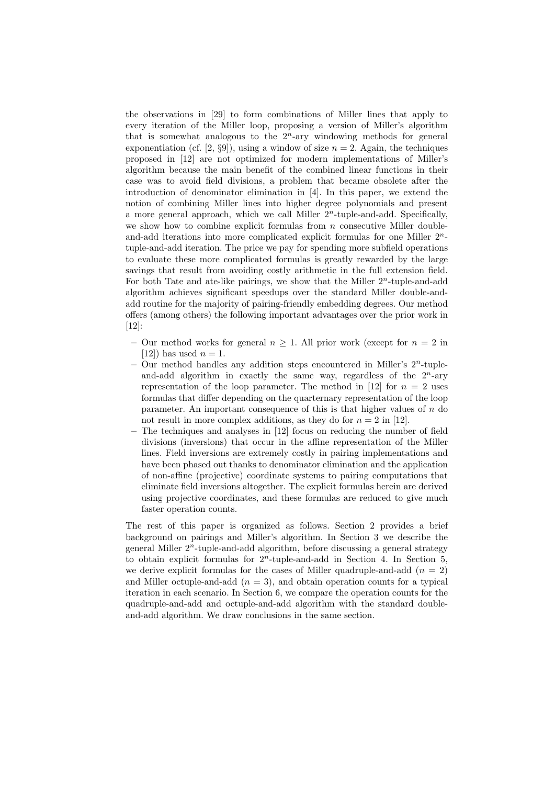the observations in [29] to form combinations of Miller lines that apply to every iteration of the Miller loop, proposing a version of Miller's algorithm that is somewhat analogous to the  $2^n$ -ary windowing methods for general exponentiation (cf. [2,  $\S9$ ]), using a window of size  $n = 2$ . Again, the techniques proposed in [12] are not optimized for modern implementations of Miller's algorithm because the main benefit of the combined linear functions in their case was to avoid field divisions, a problem that became obsolete after the introduction of denominator elimination in [4]. In this paper, we extend the notion of combining Miller lines into higher degree polynomials and present a more general approach, which we call Miller  $2<sup>n</sup>$ -tuple-and-add. Specifically, we show how to combine explicit formulas from  $n$  consecutive Miller doubleand-add iterations into more complicated explicit formulas for one Miller  $2<sup>n</sup>$ tuple-and-add iteration. The price we pay for spending more subfield operations to evaluate these more complicated formulas is greatly rewarded by the large savings that result from avoiding costly arithmetic in the full extension field. For both Tate and ate-like pairings, we show that the Miller  $2^n$ -tuple-and-add algorithm achieves significant speedups over the standard Miller double-andadd routine for the majority of pairing-friendly embedding degrees. Our method offers (among others) the following important advantages over the prior work in [12]:

- Our method works for general  $n \geq 1$ . All prior work (except for  $n = 2$  in [12]) has used  $n = 1$ .
- Our method handles any addition steps encountered in Miller's  $2^n$ -tupleand-add algorithm in exactly the same way, regardless of the  $2^n$ -ary representation of the loop parameter. The method in [12] for  $n = 2$  uses formulas that differ depending on the quarternary representation of the loop parameter. An important consequence of this is that higher values of  $n$  do not result in more complex additions, as they do for  $n = 2$  in [12].
- The techniques and analyses in [12] focus on reducing the number of field divisions (inversions) that occur in the affine representation of the Miller lines. Field inversions are extremely costly in pairing implementations and have been phased out thanks to denominator elimination and the application of non-affine (projective) coordinate systems to pairing computations that eliminate field inversions altogether. The explicit formulas herein are derived using projective coordinates, and these formulas are reduced to give much faster operation counts.

The rest of this paper is organized as follows. Section 2 provides a brief background on pairings and Miller's algorithm. In Section 3 we describe the general Miller  $2<sup>n</sup>$ -tuple-and-add algorithm, before discussing a general strategy to obtain explicit formulas for  $2^n$ -tuple-and-add in Section 4. In Section 5, we derive explicit formulas for the cases of Miller quadruple-and-add  $(n = 2)$ and Miller octuple-and-add  $(n = 3)$ , and obtain operation counts for a typical iteration in each scenario. In Section 6, we compare the operation counts for the quadruple-and-add and octuple-and-add algorithm with the standard doubleand-add algorithm. We draw conclusions in the same section.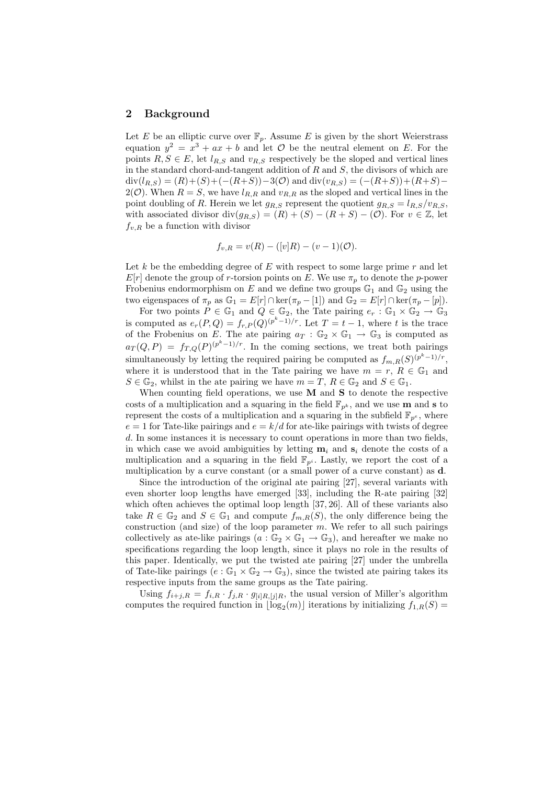# 2 Background

Let E be an elliptic curve over  $\mathbb{F}_p$ . Assume E is given by the short Weierstrass equation  $y^2 = x^3 + ax + b$  and let O be the neutral element on E. For the points  $R, S \in E$ , let  $l_{R,S}$  and  $v_{R,S}$  respectively be the sloped and vertical lines in the standard chord-and-tangent addition of  $R$  and  $S$ , the divisors of which are  $div(l_{R,S}) = (R)+(S)+(-(R+S))-3(O)$  and  $div(v_{R,S}) = (-(R+S))+(R+S) 2(\mathcal{O})$ . When  $R = S$ , we have  $l_{R,R}$  and  $v_{R,R}$  as the sloped and vertical lines in the point doubling of R. Herein we let  $g_{R,S}$  represent the quotient  $g_{R,S} = l_{R,S}/v_{R,S}$ , with associated divisor  $\text{div}(g_{R,S}) = (R) + (S) - (R+S) - (\mathcal{O})$ . For  $v \in \mathbb{Z}$ , let  $f_{v,R}$  be a function with divisor

$$
f_{v,R} = v(R) - ([v]R) - (v-1)(O).
$$

Let  $k$  be the embedding degree of  $E$  with respect to some large prime  $r$  and let  $E[r]$  denote the group of r-torsion points on E. We use  $\pi_p$  to denote the p-power Frobenius endormorphism on E and we define two groups  $\mathbb{G}_1$  and  $\mathbb{G}_2$  using the two eigenspaces of  $\pi_p$  as  $\mathbb{G}_1 = E[r] \cap \text{ker}(\pi_p - [1])$  and  $\mathbb{G}_2 = E[r] \cap \text{ker}(\pi_p - [p])$ .

For two points  $P \in \mathbb{G}_1$  and  $Q \in \mathbb{G}_2$ , the Tate pairing  $e_r : \mathbb{G}_1 \times \mathbb{G}_2 \to \mathbb{G}_3$ is computed as  $e_r(P,Q) = f_{r,P}(Q)^{(p^k-1)/r}$ . Let  $T = t - 1$ , where t is the trace of the Frobenius on E. The ate pairing  $a_T : \mathbb{G}_2 \times \mathbb{G}_1 \to \mathbb{G}_3$  is computed as  $a_T(Q, P) = f_{T,Q}(P)^{(p^k-1)/r}$ . In the coming sections, we treat both pairings simultaneously by letting the required pairing be computed as  $f_{m,R}(S)^{(p^k-1)/r}$ , where it is understood that in the Tate pairing we have  $m = r, R \in \mathbb{G}_1$  and  $S \in \mathbb{G}_2$ , whilst in the ate pairing we have  $m = T, R \in \mathbb{G}_2$  and  $S \in \mathbb{G}_1$ .

When counting field operations, we use  $M$  and  $S$  to denote the respective costs of a multiplication and a squaring in the field  $\mathbb{F}_{n^k}$ , and we use **m** and **s** to represent the costs of a multiplication and a squaring in the subfield  $\mathbb{F}_{p^e}$ , where  $e = 1$  for Tate-like pairings and  $e = k/d$  for ate-like pairings with twists of degree d. In some instances it is necessary to count operations in more than two fields, in which case we avoid ambiguities by letting  $\mathbf{m}_i$  and  $\mathbf{s}_i$  denote the costs of a multiplication and a squaring in the field  $\mathbb{F}_{p^i}$ . Lastly, we report the cost of a multiplication by a curve constant (or a small power of a curve constant) as **d**.

Since the introduction of the original ate pairing [27], several variants with even shorter loop lengths have emerged [33], including the R-ate pairing [32] which often achieves the optimal loop length [37, 26]. All of these variants also take  $R \in \mathbb{G}_2$  and  $S \in \mathbb{G}_1$  and compute  $f_{m,R}(S)$ , the only difference being the construction (and size) of the loop parameter  $m$ . We refer to all such pairings collectively as ate-like pairings  $(a : \mathbb{G}_2 \times \mathbb{G}_1 \to \mathbb{G}_3)$ , and hereafter we make no specifications regarding the loop length, since it plays no role in the results of this paper. Identically, we put the twisted ate pairing [27] under the umbrella of Tate-like pairings  $(e : \mathbb{G}_1 \times \mathbb{G}_2 \to \mathbb{G}_3)$ , since the twisted ate pairing takes its respective inputs from the same groups as the Tate pairing.

Using  $f_{i+j,R} = f_{i,R} \cdot f_{j,R} \cdot g_{[i]R,[j]R}$ , the usual version of Miller's algorithm computes the required function in  $\lfloor \log_2(m) \rfloor$  iterations by initializing  $f_{1,R}(S)$  =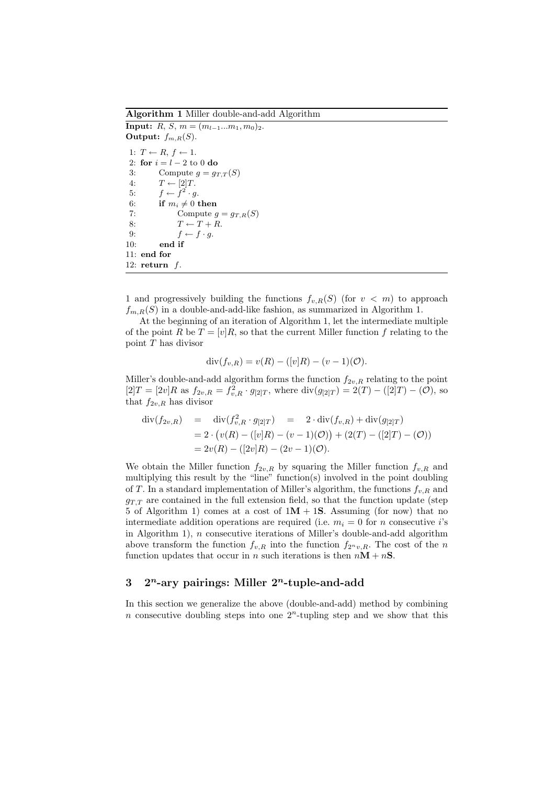Algorithm 1 Miller double-and-add Algorithm

Input:  $R, S, m = (m_{l-1}...m_1, m_0)_2.$ Output:  $f_{m,R}(S)$ . 1:  $T \leftarrow R, f \leftarrow 1$ . 2: for  $i = l - 2$  to 0 do 3: Compute  $g = g_{T,T}(S)$ 4:  $T \leftarrow [2]T$ . 5:  $f \leftarrow f^2 \cdot g$ . 6: if  $m_i \neq 0$  then 7: Compute  $g = g_{T,R}(S)$ 8:  $T \leftarrow T + R$ . 9:  $f \leftarrow f \cdot g$ . 10: end if 11: end for 12:  $return f.$ 

1 and progressively building the functions  $f_{v,R}(S)$  (for  $v < m$ ) to approach  $f_{m,R}(S)$  in a double-and-add-like fashion, as summarized in Algorithm 1.

At the beginning of an iteration of Algorithm 1, let the intermediate multiple of the point R be  $T = [v]R$ , so that the current Miller function f relating to the point T has divisor

$$
div(f_{v,R}) = v(R) - ([v]R) - (v-1)(\mathcal{O}).
$$

Miller's double-and-add algorithm forms the function  $f_{2v,R}$  relating to the point  $[2]T = [2v]R$  as  $f_{2v,R} = f_{v,R}^2 \cdot g_{[2]T}$ , where  $\text{div}(g_{[2]T}) = 2(T) - ([2]T) - (\mathcal{O})$ , so that  $f_{2v,R}$  has divisor

$$
\begin{array}{rcl}\n\text{div}(f_{2v,R}) & = & \text{div}(f_{v,R}^2 \cdot g_{[2]T}) = & 2 \cdot \text{div}(f_{v,R}) + \text{div}(g_{[2]T}) \\
& = & 2 \cdot \left( v(R) - ([v]R) - (v-1)(\mathcal{O}) \right) + (2(T) - ([2]T) - (\mathcal{O})) \\
& = & 2v(R) - ([2v]R) - (2v-1)(\mathcal{O}).\n\end{array}
$$

We obtain the Miller function  $f_{2v,R}$  by squaring the Miller function  $f_{v,R}$  and multiplying this result by the "line" function(s) involved in the point doubling of T. In a standard implementation of Miller's algorithm, the functions  $f_{v,R}$  and  $g_{T,T}$  are contained in the full extension field, so that the function update (step 5 of Algorithm 1) comes at a cost of  $1M + 1S$ . Assuming (for now) that no intermediate addition operations are required (i.e.  $m_i = 0$  for n consecutive is in Algorithm 1),  $n$  consecutive iterations of Miller's double-and-add algorithm above transform the function  $f_{v,R}$  into the function  $f_{2^n v,R}$ . The cost of the n function updates that occur in n such iterations is then  $n\mathbf{M} + n\mathbf{S}$ .

# 3  $2^n$ -ary pairings: Miller  $2^n$ -tuple-and-add

In this section we generalize the above (double-and-add) method by combining n consecutive doubling steps into one  $2<sup>n</sup>$ -tupling step and we show that this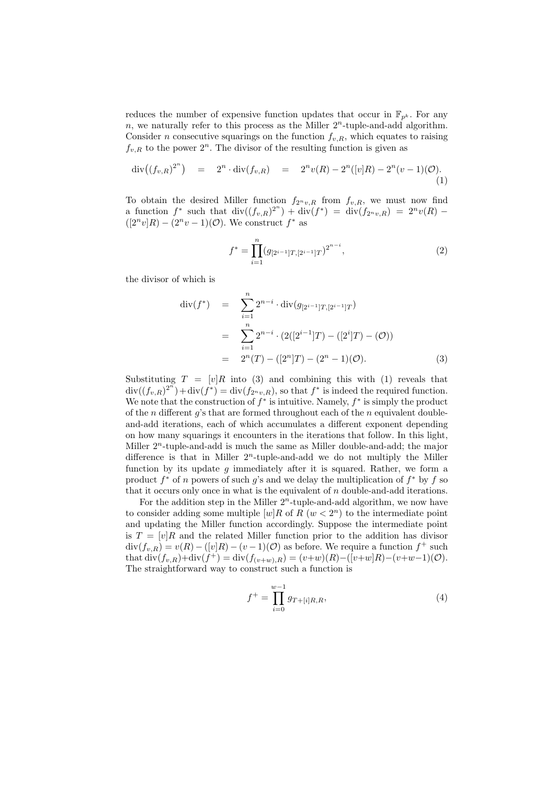reduces the number of expensive function updates that occur in  $\mathbb{F}_{p^k}$ . For any  $n$ , we naturally refer to this process as the Miller  $2<sup>n</sup>$ -tuple-and-add algorithm. Consider *n* consecutive squarings on the function  $f_{v,R}$ , which equates to raising  $f_{v,R}$  to the power  $2^n$ . The divisor of the resulting function is given as

$$
\operatorname{div}\bigl((f_{v,R})^{2^n}\bigr) = 2^n \cdot \operatorname{div}(f_{v,R}) = 2^n v(R) - 2^n([v]R) - 2^n(v-1)(\mathcal{O}). \tag{1}
$$

To obtain the desired Miller function  $f_{2^n v, R}$  from  $f_{v, R}$ , we must now find a function  $f^*$  such that  $\text{div}((f_{v,R})^{2^n}) + \text{div}(f^*) = \text{div}(f_{2^n v,R}) = 2^n v(R)$  $([2<sup>n</sup>v]R) - (2<sup>n</sup>v - 1)(O)$ . We construct  $f^*$  as

$$
f^* = \prod_{i=1}^n (g_{[2^{i-1}]T,[2^{i-1}]T})^{2^{n-i}},\tag{2}
$$

the divisor of which is

$$
\begin{array}{rcl}\n\operatorname{div}(f^*) & = & \sum_{i=1}^n 2^{n-i} \cdot \operatorname{div}(g_{[2^{i-1}]}T, [2^{i-1}]}T) \\
& = & \sum_{i=1}^n 2^{n-i} \cdot (2([2^{i-1}]}T) - ([2^i]T) - (\mathcal{O})) \\
& = & 2^n(T) - ([2^n]}T) - (2^n - 1)(\mathcal{O}).\n\end{array} \tag{3}
$$

Substituting  $T = [v]R$  into (3) and combining this with (1) reveals that  $\text{div}((f_{v,R})^{2^{n}})+\text{div}(f^*)=\text{div}(f_{2^{n}v,R}),$  so that  $f^*$  is indeed the required function. We note that the construction of  $f^*$  is intuitive. Namely,  $f^*$  is simply the product of the  $n$  different  $g$ 's that are formed throughout each of the  $n$  equivalent doubleand-add iterations, each of which accumulates a different exponent depending on how many squarings it encounters in the iterations that follow. In this light, Miller  $2^n$ -tuple-and-add is much the same as Miller double-and-add; the major difference is that in Miller  $2^n$ -tuple-and-add we do not multiply the Miller function by its update  $g$  immediately after it is squared. Rather, we form a product  $f^*$  of n powers of such g's and we delay the multiplication of  $f^*$  by f so that it occurs only once in what is the equivalent of n double-and-add iterations.

For the addition step in the Miller  $2<sup>n</sup>$ -tuple-and-add algorithm, we now have to consider adding some multiple  $[w]R$  of  $R(w < 2<sup>n</sup>)$  to the intermediate point and updating the Miller function accordingly. Suppose the intermediate point is  $T = [v]R$  and the related Miller function prior to the addition has divisor  $\text{div}(f_{v,R}) = v(R) - ([v]R) - (v-1)(\mathcal{O})$  as before. We require a function  $f^+$  such that  $\text{div}(f_{v,R}) + \text{div}(f^+) = \text{div}(f_{(v+w),R}) = (v+w)(R) - ([v+w]R) - (v+w-1)(\mathcal{O}).$ The straightforward way to construct such a function is

$$
f^{+} = \prod_{i=0}^{w-1} g_{T+[i]R,R}, \tag{4}
$$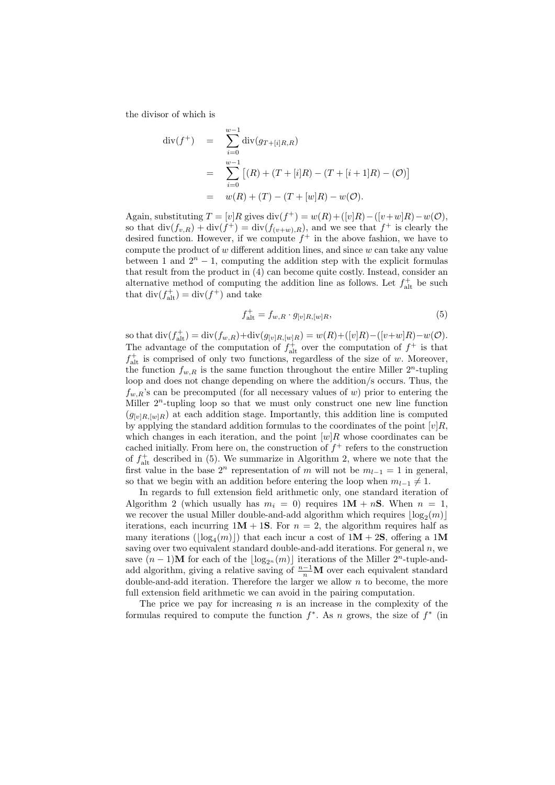the divisor of which is

$$
\begin{array}{rcl}\n\operatorname{div}(f^+) & = & \sum_{i=0}^{w-1} \operatorname{div}(g_{T+[i]R,R}) \\
& = & \sum_{i=0}^{w-1} \left[ (R) + (T+[i]R) - (T+[i+1]R) - (\mathcal{O}) \right] \\
& = & w(R) + (T) - (T+[w]R) - w(\mathcal{O}).\n\end{array}
$$

Again, substituting  $T = [v]R$  gives  $\text{div}(f^+) = w(R) + ([v]R) - ([v+w]R) - w(\mathcal{O}),$ so that  $\text{div}(f_{v,R}) + \text{div}(f^+) = \text{div}(f_{(v+w),R})$ , and we see that  $f^+$  is clearly the desired function. However, if we compute  $f^+$  in the above fashion, we have to compute the product of  $w$  different addition lines, and since  $w$  can take any value between 1 and  $2<sup>n</sup> - 1$ , computing the addition step with the explicit formulas that result from the product in (4) can become quite costly. Instead, consider an alternative method of computing the addition line as follows. Let  $f_{\text{alt}}^{+}$  be such that  $\text{div}(f_{\text{alt}}^+) = \text{div}(f^+)$  and take

$$
f_{\text{alt}}^{+} = f_{w,R} \cdot g_{[v]R,[w]R},\tag{5}
$$

so that  $\text{div}(f_{\text{alt}}^+) = \text{div}(f_{w,R}) + \text{div}(g_{[v]R,[w]R}) = w(R) + ([v]R) - ([v+w]R) - w(\mathcal{O}).$ The advantage of the computation of  $f_{alt}^{\dagger}$  over the computation of  $f^+$  is that  $f_{alt}^+$  is comprised of only two functions, regardless of the size of w. Moreover, the function  $f_{w,R}$  is the same function throughout the entire Miller  $2^n$ -tupling loop and does not change depending on where the addition/s occurs. Thus, the  $f_{w,R}$ 's can be precomputed (for all necessary values of w) prior to entering the Miller  $2^n$ -tupling loop so that we must only construct one new line function  $(g_{[v]R,[w]R})$  at each addition stage. Importantly, this addition line is computed by applying the standard addition formulas to the coordinates of the point  $[v]R$ , which changes in each iteration, and the point  $[w]R$  whose coordinates can be cached initially. From here on, the construction of  $f^+$  refers to the construction of  $f_{\text{alt}}^+$  described in (5). We summarize in Algorithm 2, where we note that the first value in the base  $2^n$  representation of m will not be  $m_{l-1} = 1$  in general, so that we begin with an addition before entering the loop when  $m_{l-1} \neq 1$ .

In regards to full extension field arithmetic only, one standard iteration of Algorithm 2 (which usually has  $m_i = 0$ ) requires  $1M + nS$ . When  $n = 1$ , we recover the usual Miller double-and-add algorithm which requires  $\lfloor \log_2(m) \rfloor$ iterations, each incurring  $1M + 1S$ . For  $n = 2$ , the algorithm requires half as many iterations  $(\lfloor \log_4(m) \rfloor)$  that each incur a cost of  $1M + 2S$ , offering a  $1M$ saving over two equivalent standard double-and-add iterations. For general  $n$ , we save  $(n-1)$ **M** for each of the  $\lfloor \log_{2^n} (m) \rfloor$  iterations of the Miller 2<sup>n</sup>-tuple-andadd algorithm, giving a relative saving of  $\frac{n-1}{n}$ **M** over each equivalent standard double-and-add iteration. Therefore the larger we allow  $n$  to become, the more full extension field arithmetic we can avoid in the pairing computation.

The price we pay for increasing  $n$  is an increase in the complexity of the formulas required to compute the function  $f^*$ . As n grows, the size of  $f^*$  (in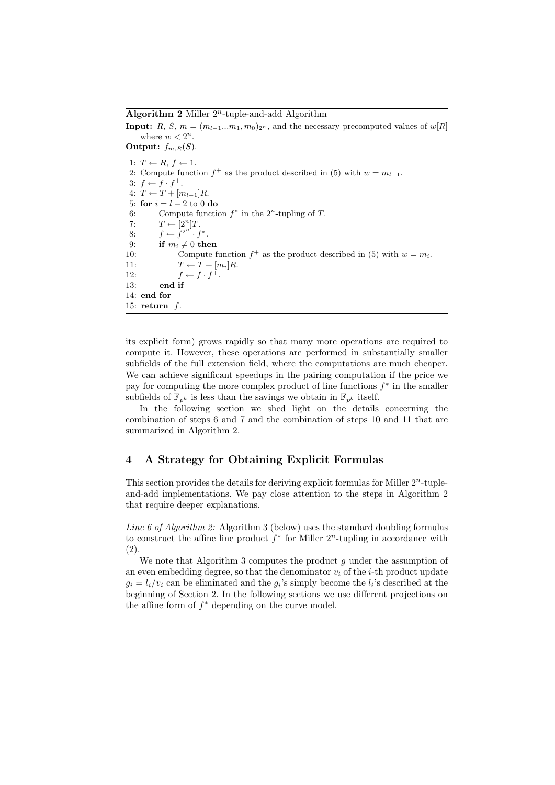Algorithm 2 Miller  $2^n$ -tuple-and-add Algorithm

**Input:** R, S,  $m = (m_{l-1}...m_1, m_0)_{2^n}$ , and the necessary precomputed values of  $w[R]$ where  $w < 2^n$ .

Output:  $f_{m,R}(S)$ .

1:  $T \leftarrow R, f \leftarrow 1$ . 2: Compute function  $f^+$  as the product described in (5) with  $w = m_{l-1}$ . 3:  $f \leftarrow f \cdot f^+$ . 4:  $T \leftarrow T + [m_{l-1}]R$ . 5: for  $i = l - 2$  to 0 do 6: Compute function  $f^*$  in the  $2^n$ -tupling of T. 7:  $T \leftarrow [2^n]T$ . 8:  $f \leftarrow f^{2^n} \cdot f^*$ . 9: if  $m_i \neq 0$  then 10: Compute function  $f^+$  as the product described in (5) with  $w = m_i$ . 11:  $T \leftarrow T + [m_i]R$ . 12:  $f \leftarrow f \cdot f^+.$ 13: end if 14: end for 15: return  $f$ .

its explicit form) grows rapidly so that many more operations are required to compute it. However, these operations are performed in substantially smaller subfields of the full extension field, where the computations are much cheaper. We can achieve significant speedups in the pairing computation if the price we pay for computing the more complex product of line functions  $f^*$  in the smaller subfields of  $\mathbb{F}_{p^k}$  is less than the savings we obtain in  $\mathbb{F}_{p^k}$  itself.

In the following section we shed light on the details concerning the combination of steps 6 and 7 and the combination of steps 10 and 11 that are summarized in Algorithm 2.

# 4 A Strategy for Obtaining Explicit Formulas

This section provides the details for deriving explicit formulas for Miller  $2<sup>n</sup>$ -tupleand-add implementations. We pay close attention to the steps in Algorithm 2 that require deeper explanations.

Line 6 of Algorithm 2: Algorithm 3 (below) uses the standard doubling formulas to construct the affine line product  $f^*$  for Miller  $2^n$ -tupling in accordance with (2).

We note that Algorithm 3 computes the product  $q$  under the assumption of an even embedding degree, so that the denominator  $v_i$  of the *i*-th product update  $g_i = l_i/v_i$  can be eliminated and the  $g_i$ 's simply become the  $l_i$ 's described at the beginning of Section 2. In the following sections we use different projections on the affine form of  $f^*$  depending on the curve model.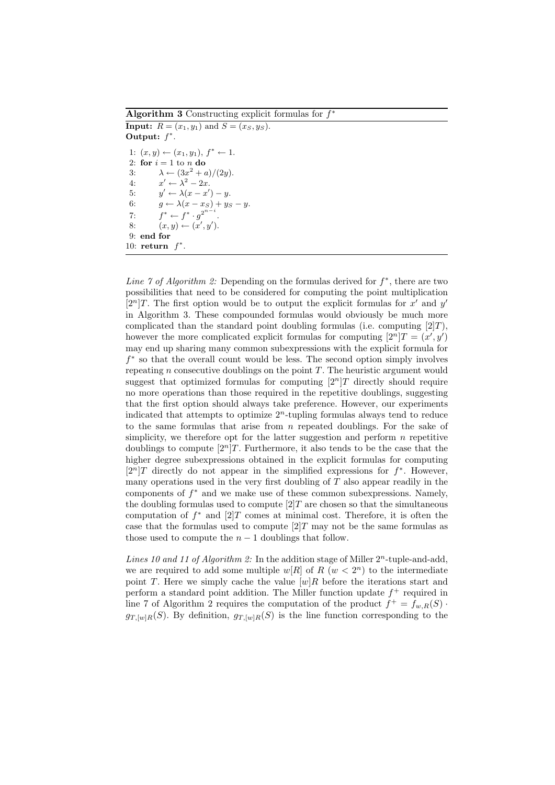Algorithm 3 Constructing explicit formulas for  $f^*$ **Input:**  $R = (x_1, y_1)$  and  $S = (x_S, y_S)$ . Output:  $f^*$ . 1:  $(x, y) \leftarrow (x_1, y_1), f^* \leftarrow 1.$ 2: for  $i = 1$  to n do 3:  $\lambda \leftarrow (3x^2 + a)/(2y).$ 4:  $x' \leftarrow \lambda^2 - 2x$ . 5:  $y' \leftarrow \lambda(x - x') - y$ . 6:  $g \leftarrow \lambda (x - x_S) + y_S - y.$ 7:  $f^* \leftarrow f^* \cdot g^{2^{n-i}}$ . 8:  $(x, y) \leftarrow (x', y').$ 9: end for 10: return  $f^*$ .

Line  $\gamma$  of Algorithm 2: Depending on the formulas derived for  $f^*$ , there are two possibilities that need to be considered for computing the point multiplication  $[2<sup>n</sup>]T$ . The first option would be to output the explicit formulas for x' and y' in Algorithm 3. These compounded formulas would obviously be much more complicated than the standard point doubling formulas (i.e. computing  $[2]T$ ), however the more complicated explicit formulas for computing  $[2^n]T = (x', y')$ may end up sharing many common subexpressions with the explicit formula for f ∗ so that the overall count would be less. The second option simply involves repeating n consecutive doublings on the point  $T$ . The heuristic argument would suggest that optimized formulas for computing  $[2^n]T$  directly should require no more operations than those required in the repetitive doublings, suggesting that the first option should always take preference. However, our experiments indicated that attempts to optimize  $2<sup>n</sup>$ -tupling formulas always tend to reduce to the same formulas that arise from  $n$  repeated doublings. For the sake of simplicity, we therefore opt for the latter suggestion and perform  $n$  repetitive doublings to compute  $[2^n]T$ . Furthermore, it also tends to be the case that the higher degree subexpressions obtained in the explicit formulas for computing  $[2<sup>n</sup>]T$  directly do not appear in the simplified expressions for  $f^*$ . However, many operations used in the very first doubling of  $T$  also appear readily in the components of  $f^*$  and we make use of these common subexpressions. Namely, the doubling formulas used to compute  $[2]T$  are chosen so that the simultaneous computation of  $f^*$  and  $[2]T$  comes at minimal cost. Therefore, it is often the case that the formulas used to compute  $[2]T$  may not be the same formulas as those used to compute the  $n-1$  doublings that follow.

Lines 10 and 11 of Algorithm 2: In the addition stage of Miller  $2^n$ -tuple-and-add, we are required to add some multiple  $w[R]$  of  $R (w < 2<sup>n</sup>)$  to the intermediate point T. Here we simply cache the value  $[w]R$  before the iterations start and perform a standard point addition. The Miller function update  $f^+$  required in line 7 of Algorithm 2 requires the computation of the product  $f^+ = f_{w,R}(S)$ .  $g_{T,[w]R}(S)$ . By definition,  $g_{T,[w]R}(S)$  is the line function corresponding to the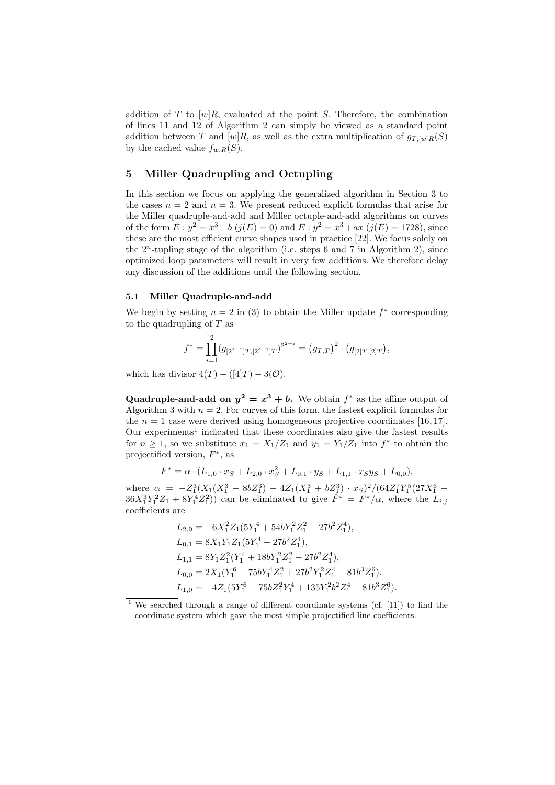addition of T to  $[w]R$ , evaluated at the point S. Therefore, the combination of lines 11 and 12 of Algorithm 2 can simply be viewed as a standard point addition between T and  $[w]R$ , as well as the extra multiplication of  $g_{T,[w]R}(S)$ by the cached value  $f_{w,R}(S)$ .

# 5 Miller Quadrupling and Octupling

In this section we focus on applying the generalized algorithm in Section 3 to the cases  $n = 2$  and  $n = 3$ . We present reduced explicit formulas that arise for the Miller quadruple-and-add and Miller octuple-and-add algorithms on curves of the form  $E: y^2 = x^3 + b$   $(j(E) = 0)$  and  $E: y^2 = x^3 + ax$   $(j(E) = 1728)$ , since these are the most efficient curve shapes used in practice [22]. We focus solely on the  $2^n$ -tupling stage of the algorithm (i.e. steps 6 and 7 in Algorithm 2), since optimized loop parameters will result in very few additions. We therefore delay any discussion of the additions until the following section.

#### 5.1 Miller Quadruple-and-add

We begin by setting  $n = 2$  in (3) to obtain the Miller update  $f^*$  corresponding to the quadrupling of  $T$  as

$$
f^* = \prod_{i=1}^2 (g_{[2^{i-1}]T,[2^{i-1}]T})^{2^{2-i}} = (g_{T,T})^2 \cdot (g_{[2]T,[2]T}),
$$

which has divisor  $4(T) - ([4]T) - 3(0)$ .

Quadruple-and-add on  $y^2 = x^3 + b$ . We obtain  $f^*$  as the affine output of Algorithm 3 with  $n = 2$ . For curves of this form, the fastest explicit formulas for the  $n = 1$  case were derived using homogeneous projective coordinates [16, 17]. Our experiments<sup>1</sup> indicated that these coordinates also give the fastest results for  $n \geq 1$ , so we substitute  $x_1 = X_1/Z_1$  and  $y_1 = Y_1/Z_1$  into  $f^*$  to obtain the projectified version,  $F^*$ , as

$$
F^* = \alpha \cdot (L_{1,0} \cdot x_S + L_{2,0} \cdot x_S^2 + L_{0,1} \cdot y_S + L_{1,1} \cdot x_S y_S + L_{0,0}),
$$

where  $\alpha = -Z_1^3(X_1(X_1^3 - 8bZ_1^3) - 4Z_1(X_1^3 + bZ_1^3) \cdot x_S)^2/(64Z_1^7Y_1^5(27X_1^6 36X_1^3Y_1^2Z_1 + 8Y_1^4Z_1^2$ ) can be eliminated to give  $\hat{F}^* = F^*/\alpha$ , where the  $L_{i,j}$ coefficients are

$$
L_{2,0} = -6X_1^2 Z_1 (5Y_1^4 + 54bY_1^2 Z_1^2 - 27b^2 Z_1^4),
$$
  
\n
$$
L_{0,1} = 8X_1 Y_1 Z_1 (5Y_1^4 + 27b^2 Z_1^4),
$$
  
\n
$$
L_{1,1} = 8Y_1 Z_1^2 (Y_1^4 + 18bY_1^2 Z_1^2 - 27b^2 Z_1^4),
$$
  
\n
$$
L_{0,0} = 2X_1 (Y_1^6 - 75bY_1^4 Z_1^2 + 27b^2 Y_1^2 Z_1^4 - 81b^3 Z_1^6).
$$
  
\n
$$
L_{1,0} = -4Z_1 (5Y_1^6 - 75bZ_1^2 Y_1^4 + 135Y_1^2 b^2 Z_1^4 - 81b^3 Z_1^6).
$$

We searched through a range of different coordinate systems (cf. [11]) to find the coordinate system which gave the most simple projectified line coefficients.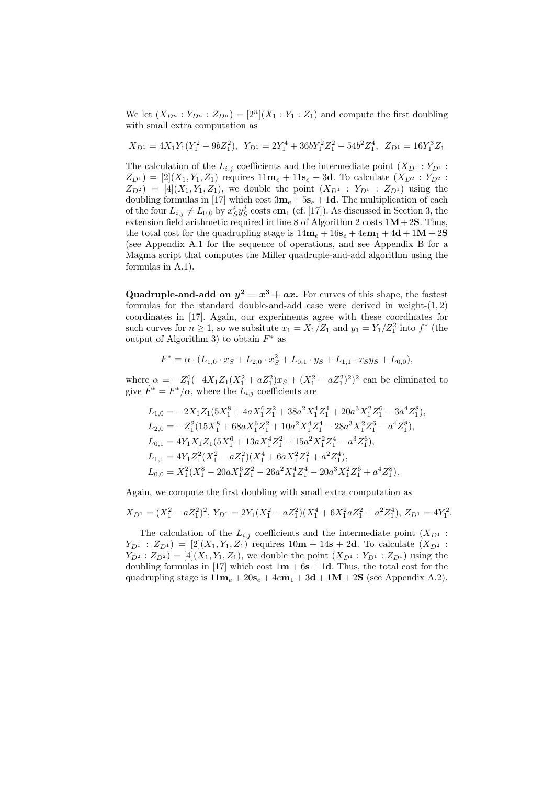We let  $(X_{D^n}: Y_{D^n}: Z_{D^n}) = [2^n](X_1:Y_1:Z_1)$  and compute the first doubling with small extra computation as

$$
X_{D^1} = 4X_1Y_1(Y_1^2 - 9bZ_1^2), \ \ Y_{D^1} = 2Y_1^4 + 36bY_1^2Z_1^2 - 54b^2Z_1^4, \ \ Z_{D^1} = 16Y_1^3Z_1
$$

The calculation of the  $L_{i,j}$  coefficients and the intermediate point  $(X_{D^1}: Y_{D^1})$ :  $Z_{D^1}$  = [2](X<sub>1</sub>, Y<sub>1</sub>, Z<sub>1</sub>) requires  $11m_e + 11s_e + 3d$ . To calculate (X<sub>D<sup>2</sub></sup>: Y<sub>D<sup>2</sub></sup>:</sub></sub>  $Z_{D^2}$  = [4]( $X_1, Y_1, Z_1$ ), we double the point  $(X_{D^1} : Y_{D^1} : Z_{D^1})$  using the doubling formulas in [17] which cost  $3m_e + 5s_e + 1d$ . The multiplication of each of the four  $L_{i,j} \neq L_{0,0}$  by  $x_S^i y_S^j$  costs  $e_{\mathbf{m}_1}$  (cf. [17]). As discussed in Section 3, the extension field arithmetic required in line 8 of Algorithm 2 costs  $1M+2S$ . Thus, the total cost for the quadrupling stage is  $14m_e + 16s_e + 4em_1 + 4d + 1M + 2S$ (see Appendix A.1 for the sequence of operations, and see Appendix B for a Magma script that computes the Miller quadruple-and-add algorithm using the formulas in A.1).

Quadruple-and-add on  $y^2 = x^3 + ax$ . For curves of this shape, the fastest formulas for the standard double-and-add case were derived in weight- $(1, 2)$ coordinates in [17]. Again, our experiments agree with these coordinates for such curves for  $n \geq 1$ , so we subsitute  $x_1 = X_1/Z_1$  and  $y_1 = Y_1/Z_1^2$  into  $f^*$  (the output of Algorithm 3) to obtain  $F^*$  as

$$
F^* = \alpha \cdot (L_{1,0} \cdot x_S + L_{2,0} \cdot x_S^2 + L_{0,1} \cdot y_S + L_{1,1} \cdot x_S y_S + L_{0,0}),
$$

where  $\alpha = -Z_1^6(-4X_1Z_1(X_1^2 + aZ_1^2)x_S + (X_1^2 - aZ_1^2)^2)^2$  can be eliminated to give  $\hat{F}^* = F^* / \alpha$ , where the  $L_{i,j}$  coefficients are

$$
L_{1,0} = -2X_1Z_1(5X_1^8 + 4aX_1^6Z_1^2 + 38a^2X_1^4Z_1^4 + 20a^3X_1^2Z_1^6 - 3a^4Z_1^8),
$$
  
\n
$$
L_{2,0} = -Z_1^2(15X_1^8 + 68aX_1^6Z_1^2 + 10a^2X_1^4Z_1^4 - 28a^3X_1^2Z_1^6 - a^4Z_1^8),
$$
  
\n
$$
L_{0,1} = 4Y_1X_1Z_1(5X_1^6 + 13aX_1^4Z_1^2 + 15a^2X_1^2Z_1^4 - a^3Z_1^6),
$$
  
\n
$$
L_{1,1} = 4Y_1Z_1^2(X_1^2 - aZ_1^2)(X_1^4 + 6aX_1^2Z_1^2 + a^2Z_1^4),
$$
  
\n
$$
L_{0,0} = X_1^2(X_1^8 - 20aX_1^6Z_1^2 - 26a^2X_1^4Z_1^4 - 20a^3X_1^2Z_1^6 + a^4Z_1^8).
$$

Again, we compute the first doubling with small extra computation as

$$
X_{D^1} = (X_1^2 - aZ_1^2)^2, Y_{D^1} = 2Y_1(X_1^2 - aZ_1^2)(X_1^4 + 6X_1^2aZ_1^2 + a^2Z_1^4), Z_{D^1} = 4Y_1^2.
$$

The calculation of the  $L_{i,j}$  coefficients and the intermediate point  $(X_{D^1}$ :  $Y_{D^1}$  :  $Z_{D^1}$ ) = [2](X<sub>1</sub>, Y<sub>1</sub>, Z<sub>1</sub>) requires 10m + 14s + 2d. To calculate (X<sub>D<sup>2</sup></sub> :  $Y_{D^2}$  :  $Z_{D^2}$  = [4]( $X_1, Y_1, Z_1$ ), we double the point  $(X_{D^1} : Y_{D^1} : Z_{D^1})$  using the doubling formulas in [17] which cost  $1m + 6s + 1d$ . Thus, the total cost for the quadrupling stage is  $11\mathbf{m}_e + 20\mathbf{s}_e + 4e\mathbf{m}_1 + 3\mathbf{d} + 1\mathbf{M} + 2\mathbf{S}$  (see Appendix A.2).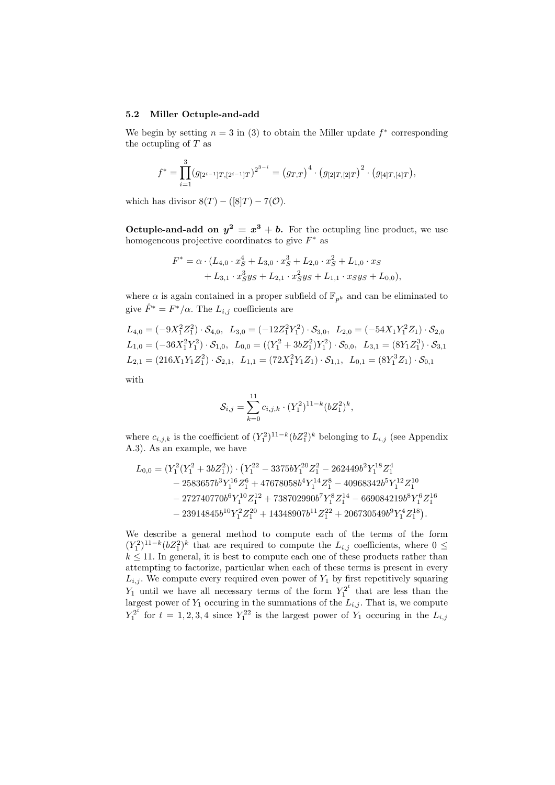#### 5.2 Miller Octuple-and-add

We begin by setting  $n = 3$  in (3) to obtain the Miller update  $f^*$  corresponding the octupling of  $T$  as

$$
f^* = \prod_{i=1}^3 (g_{[2^{i-1}]T,[2^{i-1}]T})^{2^{3-i}} = (g_{T,T})^4 \cdot (g_{[2]T,[2]T})^2 \cdot (g_{[4]T,[4]T}),
$$

which has divisor  $8(T) - ([8]T) - 7(\mathcal{O})$ .

**Octuple-and-add on**  $y^2 = x^3 + b$ **.** For the octupling line product, we use homogeneous projective coordinates to give  $F^*$  as

$$
F^* = \alpha \cdot (L_{4,0} \cdot x_S^4 + L_{3,0} \cdot x_S^3 + L_{2,0} \cdot x_S^2 + L_{1,0} \cdot x_S + L_{3,1} \cdot x_S^3 y_S + L_{2,1} \cdot x_S^2 y_S + L_{1,1} \cdot x_S y_S + L_{0,0}),
$$

where  $\alpha$  is again contained in a proper subfield of  $\mathbb{F}_{p^k}$  and can be eliminated to give  $\hat{F}^* = F^* / \alpha$ . The  $L_{i,j}$  coefficients are

$$
L_{4,0} = (-9X_1^2 Z_1^2) \cdot S_{4,0}, \ L_{3,0} = (-12Z_1^2 Y_1^2) \cdot S_{3,0}, \ L_{2,0} = (-54X_1 Y_1^2 Z_1) \cdot S_{2,0}
$$
  

$$
L_{1,0} = (-36X_1^2 Y_1^2) \cdot S_{1,0}, \ L_{0,0} = ((Y_1^2 + 3bZ_1^2)Y_1^2) \cdot S_{0,0}, \ L_{3,1} = (8Y_1 Z_1^3) \cdot S_{3,1}
$$
  

$$
L_{2,1} = (216X_1 Y_1 Z_1^2) \cdot S_{2,1}, \ L_{1,1} = (72X_1^2 Y_1 Z_1) \cdot S_{1,1}, \ L_{0,1} = (8Y_1^3 Z_1) \cdot S_{0,1}
$$

with

$$
\mathcal{S}_{i,j} = \sum_{k=0}^{11} c_{i,j,k} \cdot (Y_1^2)^{11-k} (bZ_1^2)^k,
$$

where  $c_{i,j,k}$  is the coefficient of  $(Y_1^2)^{11-k} (bZ_1^2)^k$  belonging to  $L_{i,j}$  (see Appendix A.3). As an example, we have

$$
L_{0,0} = (Y_1^2(Y_1^2 + 3bZ_1^2)) \cdot (Y_1^{22} - 3375bY_1^{20}Z_1^2 - 262449b^2Y_1^{18}Z_1^4 - 2583657b^3Y_1^{16}Z_1^6 + 47678058b^4Y_1^{14}Z_1^8 - 40968342b^5Y_1^{12}Z_1^{10} - 272740770b^6Y_1^{10}Z_1^{12} + 738702990b^7Y_1^8Z_1^{14} - 669084219b^8Y_1^6Z_1^{16} - 23914845b^{10}Y_1^2Z_1^{20} + 14348907b^{11}Z_1^{22} + 206730549b^9Y_1^4Z_1^{18}).
$$

We describe a general method to compute each of the terms of the form  $(Y_1^2)^{11-k} (bZ_1^2)^k$  that are required to compute the  $L_{i,j}$  coefficients, where  $0 \leq$  $k \leq 11$ . In general, it is best to compute each one of these products rather than attempting to factorize, particular when each of these terms is present in every  $L_{i,j}$ . We compute every required even power of  $Y_1$  by first repetitively squaring  $Y_1$  until we have all necessary terms of the form  $Y_1^{2^t}$  that are less than the largest power of  $Y_1$  occuring in the summations of the  $L_{i,j}$ . That is, we compute  $Y_1^{2^t}$  for  $t = 1, 2, 3, 4$  since  $Y_1^{2^t}$  is the largest power of  $Y_1$  occuring in the  $L_{i,j}$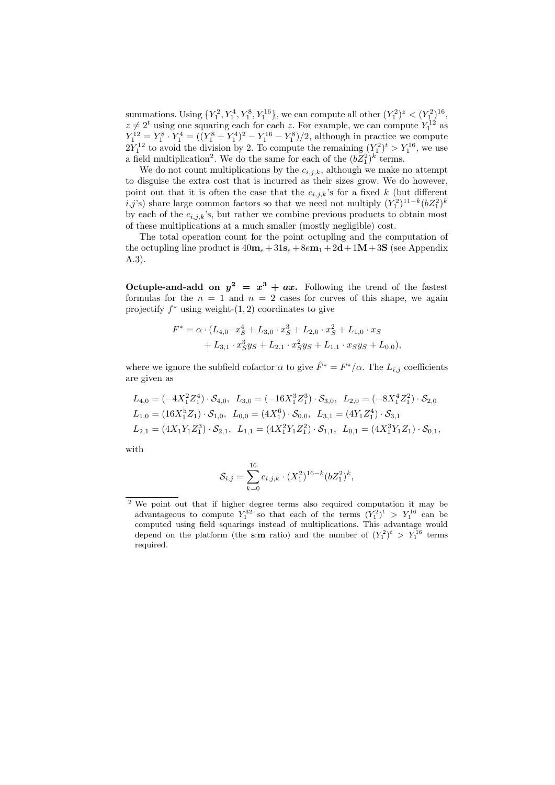summations. Using  $\{Y_1^2, Y_1^4, Y_1^8, Y_1^{16}\}$ , we can compute all other  $(Y_1^2)^z < (Y_1^2)^{16}$ ,  $z \neq 2^t$  using one squaring each for each z. For example, we can compute  $Y_1^{12}$  as  $Y_1^{12} = Y_1^8 \cdot Y_1^4 = ((Y_1^8 + Y_1^4)^2 - Y_1^{16} - Y_1^8)/2$ , although in practice we compute  $2Y_1^{12}$  to avoid the division by 2. To compute the remaining  $(Y_1^2)^t > Y_1^{16}$ , we use a field multiplication<sup>2</sup>. We do the same for each of the  $(bZ_1^2)^k$  terms.

We do not count multiplications by the  $c_{i,j,k}$ , although we make no attempt to disguise the extra cost that is incurred as their sizes grow. We do however, point out that it is often the case that the  $c_{i,j,k}$ 's for a fixed k (but different  $(i,j)$  share large common factors so that we need not multiply  $(Y_1^2)^{11-k} (bZ_1^2)^k$ by each of the  $c_{i,j,k}$ 's, but rather we combine previous products to obtain most of these multiplications at a much smaller (mostly negligible) cost.

The total operation count for the point octupling and the computation of the octupling line product is  $40m_e + 31s_e + 8em_1 + 2d + 1M + 3S$  (see Appendix A.3).

Octuple-and-add on  $y^2 = x^3 + ax$ . Following the trend of the fastest formulas for the  $n = 1$  and  $n = 2$  cases for curves of this shape, we again projectify  $f^*$  using weight- $(1, 2)$  coordinates to give

$$
F^* = \alpha \cdot (L_{4,0} \cdot x_S^4 + L_{3,0} \cdot x_S^3 + L_{2,0} \cdot x_S^2 + L_{1,0} \cdot x_S + L_{3,1} \cdot x_S^2 y_S + L_{2,1} \cdot x_S^2 y_S + L_{1,1} \cdot x_S y_S + L_{0,0}),
$$

where we ignore the subfield cofactor  $\alpha$  to give  $\hat{F}^* = F^* / \alpha$ . The  $L_{i,j}$  coefficients are given as

$$
\begin{aligned} L_{4,0} &= (-4X_1^2 Z_1^4) \cdot \mathcal{S}_{4,0}, \hspace{0.2cm} L_{3,0} = (-16X_1^3 Z_1^3) \cdot \mathcal{S}_{3,0}, \hspace{0.2cm} L_{2,0} = (-8X_1^4 Z_1^2) \cdot \mathcal{S}_{2,0} \\ L_{1,0} &= (16X_1^5 Z_1) \cdot \mathcal{S}_{1,0}, \hspace{0.2cm} L_{0,0} = (4X_1^6) \cdot \mathcal{S}_{0,0}, \hspace{0.2cm} L_{3,1} = (4Y_1 Z_1^4) \cdot \mathcal{S}_{3,1} \\ L_{2,1} &= (4X_1 Y_1 Z_1^3) \cdot \mathcal{S}_{2,1}, \hspace{0.2cm} L_{1,1} = (4X_1^2 Y_1 Z_1^2) \cdot \mathcal{S}_{1,1}, \hspace{0.2cm} L_{0,1} = (4X_1^3 Y_1 Z_1) \cdot \mathcal{S}_{0,1}, \end{aligned}
$$

with

$$
\mathcal{S}_{i,j} = \sum_{k=0}^{16} c_{i,j,k} \cdot (X_1^2)^{16-k} (bZ_1^2)^k,
$$

<sup>2</sup> We point out that if higher degree terms also required computation it may be advantageous to compute  $Y_1^{32}$  so that each of the terms  $(Y_1^2)^t > Y_1^{16}$  can be computed using field squarings instead of multiplications. This advantage would depend on the platform (the s:m ratio) and the number of  $(Y_1^2)^t > Y_1^{16}$  terms required.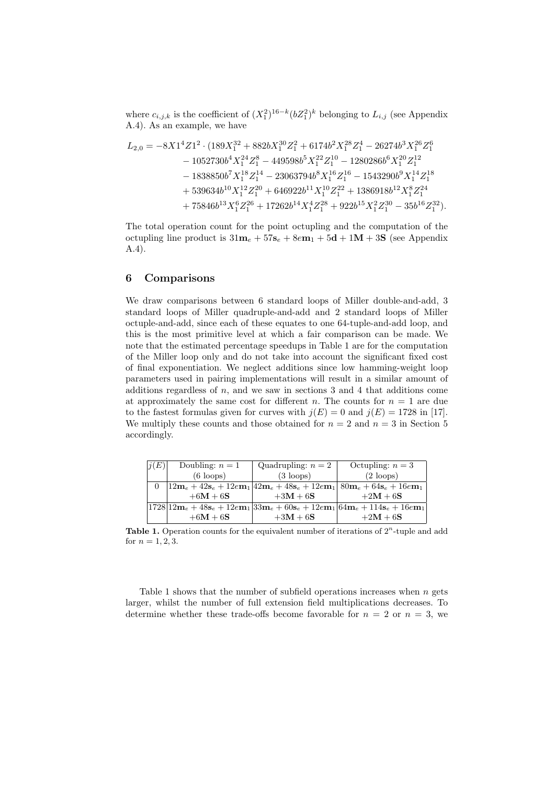where  $c_{i,j,k}$  is the coefficient of  $(X_1^2)^{16-k} (bZ_1^2)^k$  belonging to  $L_{i,j}$  (see Appendix A.4). As an example, we have

$$
\begin{aligned} L_{2,0}=&-8X1^4Z1^2\cdot(189X_1^{32}+882bX_1^{30}Z_1^2+6174b^2X_1^{28}Z_1^4-26274b^3X_1^{26}Z_1^6\\ &-1052730b^4X_1^{24}Z_1^8-449598b^5X_1^{22}Z_1^{10}-1280286b^6X_1^{20}Z_1^{12}\\ &-1838850b^7X_1^{18}Z_1^{14}-23063794b^8X_1^{16}Z_1^{16}-1543290b^9X_1^{14}Z_1^{18}\\ &+539634b^{10}X_1^{12}Z_1^{20}+646922b^{11}X_1^{10}Z_1^{22}+1386918b^{12}X_1^8Z_1^{24}\\ &+75846b^{13}X_1^6Z_1^{26}+17262b^{14}X_1^4Z_1^{28}+922b^{15}X_1^2Z_1^{30}-35b^{16}Z_1^{32}). \end{aligned}
$$

The total operation count for the point octupling and the computation of the octupling line product is  $31m_e + 57s_e + 8m_1 + 5d + 1M + 3S$  (see Appendix A.4).

## 6 Comparisons

We draw comparisons between 6 standard loops of Miller double-and-add, 3 standard loops of Miller quadruple-and-add and 2 standard loops of Miller octuple-and-add, since each of these equates to one 64-tuple-and-add loop, and this is the most primitive level at which a fair comparison can be made. We note that the estimated percentage speedups in Table 1 are for the computation of the Miller loop only and do not take into account the significant fixed cost of final exponentiation. We neglect additions since low hamming-weight loop parameters used in pairing implementations will result in a similar amount of additions regardless of  $n$ , and we saw in sections 3 and 4 that additions come at approximately the same cost for different n. The counts for  $n = 1$  are due to the fastest formulas given for curves with  $j(E) = 0$  and  $j(E) = 1728$  in [17]. We multiply these counts and those obtained for  $n = 2$  and  $n = 3$  in Section 5 accordingly.

| i(E) | Doubling: $n=1$     | Quadrupling: $n = 2$ | Octupling: $n=3$                                                                  |
|------|---------------------|----------------------|-----------------------------------------------------------------------------------|
|      | $(6 \text{ loops})$ | $(3 \text{ loops})$  | $(2 \text{ loops})$                                                               |
|      |                     |                      | $ 12m_e + 42s_e + 12em_1 42m_e + 48s_e + 12em_1 80m_e + 64s_e + 16em_1$           |
|      | $+6M+6S$            | $+3M+6S$             | $+2M+6S$                                                                          |
|      |                     |                      | $11728 12m_e + 48s_e + 12e m_1 33m_e + 60s_e + 12e m_1 64m_e + 114s_e + 16e m_1 $ |
|      | $+6M+6S$            | $+3M+6S$             | $+2M+6S$                                                                          |

Table 1. Operation counts for the equivalent number of iterations of  $2^n$ -tuple and add for  $n = 1, 2, 3$ .

Table 1 shows that the number of subfield operations increases when  $n$  gets larger, whilst the number of full extension field multiplications decreases. To determine whether these trade-offs become favorable for  $n = 2$  or  $n = 3$ , we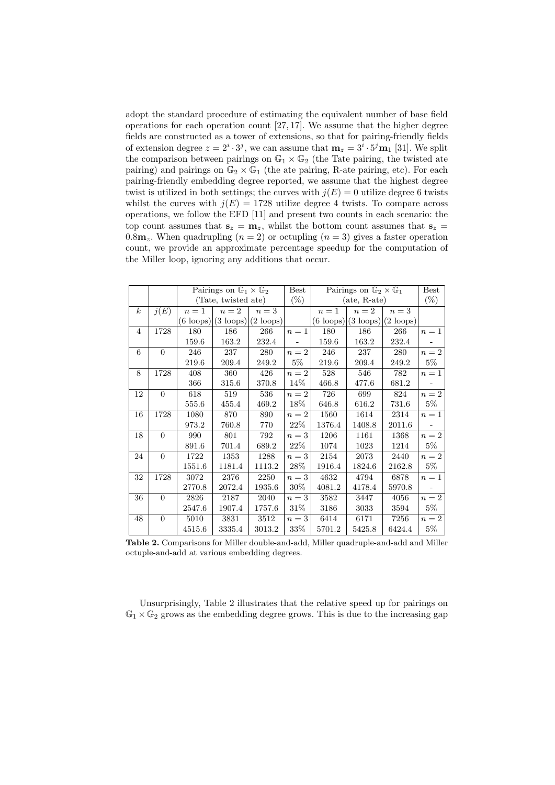adopt the standard procedure of estimating the equivalent number of base field operations for each operation count [27, 17]. We assume that the higher degree fields are constructed as a tower of extensions, so that for pairing-friendly fields of extension degree  $z = 2^i \cdot 3^j$ , we can assume that  $\mathbf{m}_z = 3^i \cdot 5^j \mathbf{m}_1$  [31]. We split the comparison between pairings on  $\mathbb{G}_1 \times \mathbb{G}_2$  (the Tate pairing, the twisted ate pairing) and pairings on  $\mathbb{G}_2 \times \mathbb{G}_1$  (the ate pairing, R-ate pairing, etc). For each pairing-friendly embedding degree reported, we assume that the highest degree twist is utilized in both settings; the curves with  $j(E) = 0$  utilize degree 6 twists whilst the curves with  $j(E) = 1728$  utilize degree 4 twists. To compare across operations, we follow the EFD [11] and present two counts in each scenario: the top count assumes that  $s_z = m_z$ , whilst the bottom count assumes that  $s_z =$ 0.8 $m_z$ . When quadrupling  $(n = 2)$  or octupling  $(n = 3)$  gives a faster operation count, we provide an approximate percentage speedup for the computation of the Miller loop, ignoring any additions that occur.

|                  |                | Pairings on $\mathbb{G}_1 \times \mathbb{G}_2$ |        |                                                             | <b>Best</b> | Pairings on $\mathbb{G}_2 \times \mathbb{G}_1$ |                                                             |        | <b>Best</b>      |
|------------------|----------------|------------------------------------------------|--------|-------------------------------------------------------------|-------------|------------------------------------------------|-------------------------------------------------------------|--------|------------------|
|                  |                | (Tate, twisted ate)                            |        |                                                             | $(\%)$      | $(ate, R-ate)$                                 |                                                             |        | $(\%)$           |
| $\boldsymbol{k}$ | j(E)           | $n=1$                                          | $n=2$  | $n=3$                                                       |             | $n=1$                                          | $n=2$                                                       | $n=3$  |                  |
|                  |                |                                                |        | $(6 \text{ loops})$ $(3 \text{ loops})$ $(2 \text{ loops})$ |             |                                                | $(6 \text{ loops})$ $(3 \text{ loops})$ $(2 \text{ loops})$ |        |                  |
| 4                | 1728           | 180                                            | 186    | 266                                                         | $n=1$       | 180                                            | 186                                                         | 266    | $n=1$            |
|                  |                | 159.6                                          | 163.2  | 232.4                                                       |             | 159.6                                          | 163.2                                                       | 232.4  |                  |
| 6                | $\Omega$       | 246                                            | 237    | 280                                                         | $n=2$       | 246                                            | 237                                                         | 280    | $\,n=2$          |
|                  |                | 219.6                                          | 209.4  | 249.2                                                       | $5\%$       | 219.6                                          | 209.4                                                       | 249.2  | $5\%$            |
| 8                | 1728           | 408                                            | 360    | 426                                                         | $n=2$       | 528                                            | 546                                                         | 782    | $n=1$            |
|                  |                | 366                                            | 315.6  | 370.8                                                       | 14%         | 466.8                                          | 477.6                                                       | 681.2  |                  |
| 12               | $\Omega$       | 618                                            | 519    | 536                                                         | $n=2$       | 726                                            | 699                                                         | 824    | $n=\overline{2}$ |
|                  |                | 555.6                                          | 455.4  | 469.2                                                       | 18%         | 646.8                                          | 616.2                                                       | 731.6  | $5\%$            |
| 16               | 1728           | 1080                                           | 870    | 890                                                         | $n=2$       | 1560                                           | 1614                                                        | 2314   | $n=1$            |
|                  |                | 973.2                                          | 760.8  | 770                                                         | 22%         | 1376.4                                         | 1408.8                                                      | 2011.6 |                  |
| 18               | $\overline{0}$ | 990                                            | 801    | 792                                                         | $n=3$       | 1206                                           | 1161                                                        | 1368   | $n=2$            |
|                  |                | 891.6                                          | 701.4  | 689.2                                                       | 22%         | 1074                                           | 1023                                                        | 1214   | $5\%$            |
| 24               | $\overline{0}$ | 1722                                           | 1353   | 1288                                                        | $n=3$       | 2154                                           | 2073                                                        | 2440   | $\real{n=2}$     |
|                  |                | 1551.6                                         | 1181.4 | 1113.2                                                      | $28\%$      | 1916.4                                         | 1824.6                                                      | 2162.8 | $5\%$            |
| 32               | 1728           | 3072                                           | 2376   | 2250                                                        | $n=3$       | 4632                                           | 4794                                                        | 6878   | $n=1$            |
|                  |                | 2770.8                                         | 2072.4 | 1935.6                                                      | $30\%$      | 4081.2                                         | 4178.4                                                      | 5970.8 |                  |
| 36               | $\Omega$       | 2826                                           | 2187   | 2040                                                        | $n=3$       | 3582                                           | 3447                                                        | 4056   | $n=2$            |
|                  |                | 2547.6                                         | 1907.4 | 1757.6                                                      | $31\%$      | 3186                                           | 3033                                                        | 3594   | $5\%$            |
| 48               | $\Omega$       | 5010                                           | 3831   | 3512                                                        | $n=3$       | 6414                                           | 6171                                                        | 7256   | $n=\overline{2}$ |
|                  |                | 4515.6                                         | 3335.4 | 3013.2                                                      | $33\%$      | 5701.2                                         | 5425.8                                                      | 6424.4 | $5\%$            |

Table 2. Comparisons for Miller double-and-add, Miller quadruple-and-add and Miller octuple-and-add at various embedding degrees.

Unsurprisingly, Table 2 illustrates that the relative speed up for pairings on  $\mathbb{G}_1 \times \mathbb{G}_2$  grows as the embedding degree grows. This is due to the increasing gap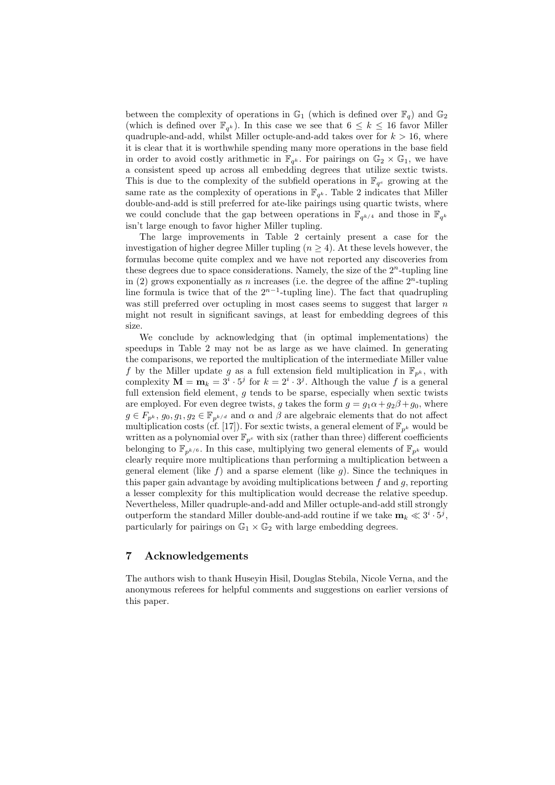between the complexity of operations in  $\mathbb{G}_1$  (which is defined over  $\mathbb{F}_q$ ) and  $\mathbb{G}_2$ (which is defined over  $\mathbb{F}_{q^k}$ ). In this case we see that  $6 \leq k \leq 16$  favor Miller quadruple-and-add, whilst Miller octuple-and-add takes over for  $k > 16$ , where it is clear that it is worthwhile spending many more operations in the base field in order to avoid costly arithmetic in  $\mathbb{F}_{q^k}$ . For pairings on  $\mathbb{G}_2 \times \mathbb{G}_1$ , we have a consistent speed up across all embedding degrees that utilize sextic twists. This is due to the complexity of the subfield operations in  $\mathbb{F}_{q^e}$  growing at the same rate as the complexity of operations in  $\mathbb{F}_{q^k}$ . Table 2 indicates that Miller double-and-add is still preferred for ate-like pairings using quartic twists, where we could conclude that the gap between operations in  $\mathbb{F}_{q^{k/4}}$  and those in  $\mathbb{F}_{q^k}$ isn't large enough to favor higher Miller tupling.

The large improvements in Table 2 certainly present a case for the investigation of higher degree Miller tupling ( $n \geq 4$ ). At these levels however, the formulas become quite complex and we have not reported any discoveries from these degrees due to space considerations. Namely, the size of the  $2<sup>n</sup>$ -tupling line in (2) grows exponentially as n increases (i.e. the degree of the affine  $2^n$ -tupling line formula is twice that of the  $2^{n-1}$ -tupling line). The fact that quadrupling was still preferred over octupling in most cases seems to suggest that larger  $n$ might not result in significant savings, at least for embedding degrees of this size.

We conclude by acknowledging that (in optimal implementations) the speedups in Table 2 may not be as large as we have claimed. In generating the comparisons, we reported the multiplication of the intermediate Miller value f by the Miller update g as a full extension field multiplication in  $\mathbb{F}_{n^k}$ , with complexity  $\mathbf{M} = \mathbf{m}_k = 3^i \cdot 5^j$  for  $k = 2^i \cdot 3^j$ . Although the value f is a general full extension field element,  $g$  tends to be sparse, especially when sextic twists are employed. For even degree twists, g takes the form  $g = g_1 \alpha + g_2 \beta + g_0$ , where  $g \in F_{p^k}, g_0, g_1, g_2 \in \mathbb{F}_{p^{k/d}}$  and  $\alpha$  and  $\beta$  are algebraic elements that do not affect multiplication costs (cf. [17]). For sextic twists, a general element of  $\mathbb{F}_{p^k}$  would be written as a polynomial over  $\mathbb{F}_{p^e}$  with six (rather than three) different coefficients belonging to  $\mathbb{F}_{p^{k/6}}$ . In this case, multiplying two general elements of  $\mathbb{F}_{p^{k}}$  would clearly require more multiplications than performing a multiplication between a general element (like  $f$ ) and a sparse element (like  $g$ ). Since the techniques in this paper gain advantage by avoiding multiplications between  $f$  and  $g$ , reporting a lesser complexity for this multiplication would decrease the relative speedup. Nevertheless, Miller quadruple-and-add and Miller octuple-and-add still strongly outperform the standard Miller double-and-add routine if we take  $\mathbf{m}_k \ll 3^i \cdot 5^j$ , particularly for pairings on  $\mathbb{G}_1 \times \mathbb{G}_2$  with large embedding degrees.

# 7 Acknowledgements

The authors wish to thank Huseyin Hisil, Douglas Stebila, Nicole Verna, and the anonymous referees for helpful comments and suggestions on earlier versions of this paper.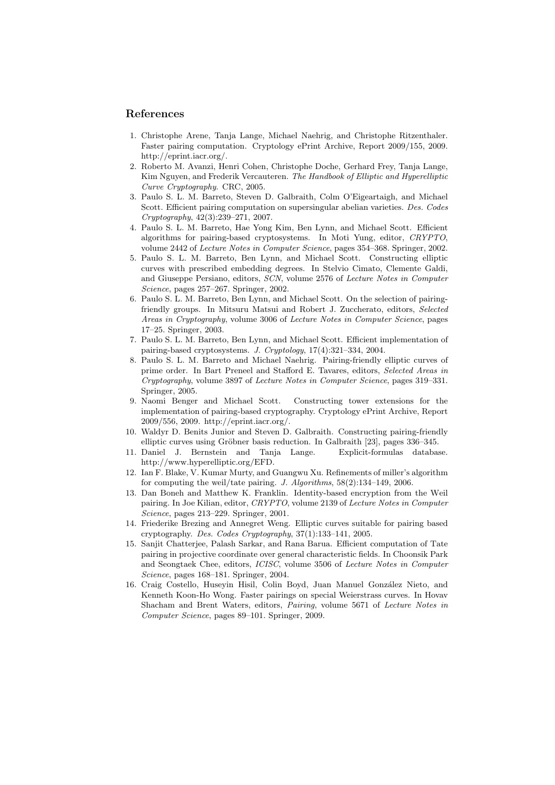# References

- 1. Christophe Arene, Tanja Lange, Michael Naehrig, and Christophe Ritzenthaler. Faster pairing computation. Cryptology ePrint Archive, Report 2009/155, 2009. http://eprint.iacr.org/.
- 2. Roberto M. Avanzi, Henri Cohen, Christophe Doche, Gerhard Frey, Tanja Lange, Kim Nguyen, and Frederik Vercauteren. The Handbook of Elliptic and Hyperelliptic Curve Cryptography. CRC, 2005.
- 3. Paulo S. L. M. Barreto, Steven D. Galbraith, Colm O'Eigeartaigh, and Michael Scott. Efficient pairing computation on supersingular abelian varieties. Des. Codes Cryptography, 42(3):239–271, 2007.
- 4. Paulo S. L. M. Barreto, Hae Yong Kim, Ben Lynn, and Michael Scott. Efficient algorithms for pairing-based cryptosystems. In Moti Yung, editor, CRYPTO, volume 2442 of Lecture Notes in Computer Science, pages 354–368. Springer, 2002.
- 5. Paulo S. L. M. Barreto, Ben Lynn, and Michael Scott. Constructing elliptic curves with prescribed embedding degrees. In Stelvio Cimato, Clemente Galdi, and Giuseppe Persiano, editors, SCN, volume 2576 of Lecture Notes in Computer Science, pages 257–267. Springer, 2002.
- 6. Paulo S. L. M. Barreto, Ben Lynn, and Michael Scott. On the selection of pairingfriendly groups. In Mitsuru Matsui and Robert J. Zuccherato, editors, Selected Areas in Cryptography, volume 3006 of Lecture Notes in Computer Science, pages 17–25. Springer, 2003.
- 7. Paulo S. L. M. Barreto, Ben Lynn, and Michael Scott. Efficient implementation of pairing-based cryptosystems. J. Cryptology, 17(4):321–334, 2004.
- 8. Paulo S. L. M. Barreto and Michael Naehrig. Pairing-friendly elliptic curves of prime order. In Bart Preneel and Stafford E. Tavares, editors, Selected Areas in Cryptography, volume 3897 of Lecture Notes in Computer Science, pages 319–331. Springer, 2005.
- 9. Naomi Benger and Michael Scott. Constructing tower extensions for the implementation of pairing-based cryptography. Cryptology ePrint Archive, Report 2009/556, 2009. http://eprint.iacr.org/.
- 10. Waldyr D. Benits Junior and Steven D. Galbraith. Constructing pairing-friendly elliptic curves using Gröbner basis reduction. In Galbraith [23], pages 336–345.
- 11. Daniel J. Bernstein and Tanja Lange. Explicit-formulas database. http://www.hyperelliptic.org/EFD.
- 12. Ian F. Blake, V. Kumar Murty, and Guangwu Xu. Refinements of miller's algorithm for computing the weil/tate pairing. J. Algorithms, 58(2):134–149, 2006.
- 13. Dan Boneh and Matthew K. Franklin. Identity-based encryption from the Weil pairing. In Joe Kilian, editor, CRYPTO, volume 2139 of Lecture Notes in Computer Science, pages 213–229. Springer, 2001.
- 14. Friederike Brezing and Annegret Weng. Elliptic curves suitable for pairing based cryptography. Des. Codes Cryptography, 37(1):133–141, 2005.
- 15. Sanjit Chatterjee, Palash Sarkar, and Rana Barua. Efficient computation of Tate pairing in projective coordinate over general characteristic fields. In Choonsik Park and Seongtaek Chee, editors, ICISC, volume 3506 of Lecture Notes in Computer Science, pages 168–181. Springer, 2004.
- 16. Craig Costello, Huseyin Hisil, Colin Boyd, Juan Manuel González Nieto, and Kenneth Koon-Ho Wong. Faster pairings on special Weierstrass curves. In Hovav Shacham and Brent Waters, editors, Pairing, volume 5671 of Lecture Notes in Computer Science, pages 89–101. Springer, 2009.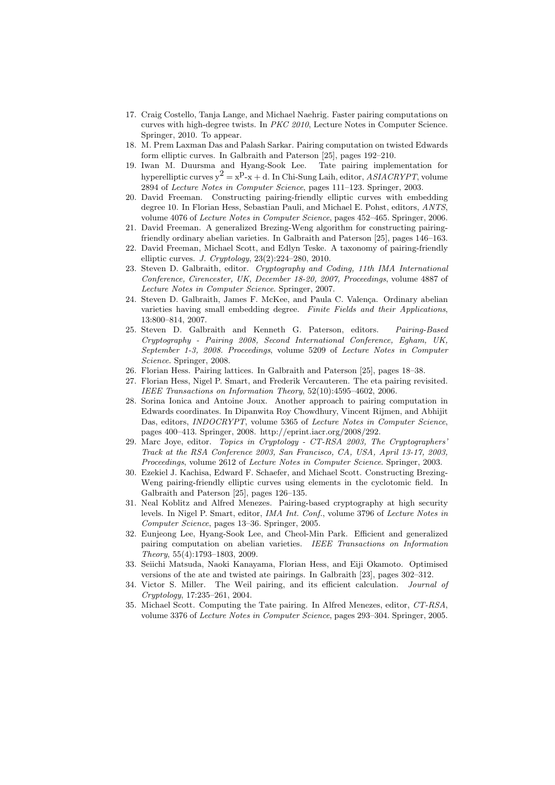- 17. Craig Costello, Tanja Lange, and Michael Naehrig. Faster pairing computations on curves with high-degree twists. In PKC 2010, Lecture Notes in Computer Science. Springer, 2010. To appear.
- 18. M. Prem Laxman Das and Palash Sarkar. Pairing computation on twisted Edwards form elliptic curves. In Galbraith and Paterson [25], pages 192–210.
- 19. Iwan M. Duursma and Hyang-Sook Lee. Tate pairing implementation for hyperelliptic curves  $y^2 = x^p - x + d$ . In Chi-Sung Laih, editor, *ASIACRYPT*, volume 2894 of Lecture Notes in Computer Science, pages 111–123. Springer, 2003.
- 20. David Freeman. Constructing pairing-friendly elliptic curves with embedding degree 10. In Florian Hess, Sebastian Pauli, and Michael E. Pohst, editors, ANTS, volume 4076 of Lecture Notes in Computer Science, pages 452–465. Springer, 2006.
- 21. David Freeman. A generalized Brezing-Weng algorithm for constructing pairingfriendly ordinary abelian varieties. In Galbraith and Paterson [25], pages 146–163.
- 22. David Freeman, Michael Scott, and Edlyn Teske. A taxonomy of pairing-friendly elliptic curves. J. Cryptology, 23(2):224–280, 2010.
- 23. Steven D. Galbraith, editor. Cryptography and Coding, 11th IMA International Conference, Cirencester, UK, December 18-20, 2007, Proceedings, volume 4887 of Lecture Notes in Computer Science. Springer, 2007.
- 24. Steven D. Galbraith, James F. McKee, and Paula C. Valença. Ordinary abelian varieties having small embedding degree. Finite Fields and their Applications, 13:800–814, 2007.
- 25. Steven D. Galbraith and Kenneth G. Paterson, editors. Pairing-Based Cryptography - Pairing 2008, Second International Conference, Egham, UK, September 1-3, 2008. Proceedings, volume 5209 of Lecture Notes in Computer Science. Springer, 2008.
- 26. Florian Hess. Pairing lattices. In Galbraith and Paterson [25], pages 18–38.
- 27. Florian Hess, Nigel P. Smart, and Frederik Vercauteren. The eta pairing revisited. IEEE Transactions on Information Theory, 52(10):4595–4602, 2006.
- 28. Sorina Ionica and Antoine Joux. Another approach to pairing computation in Edwards coordinates. In Dipanwita Roy Chowdhury, Vincent Rijmen, and Abhijit Das, editors, *INDOCRYPT*, volume 5365 of *Lecture Notes in Computer Science*, pages 400–413. Springer, 2008. http://eprint.iacr.org/2008/292.
- 29. Marc Joye, editor. Topics in Cryptology CT-RSA 2003, The Cryptographers' Track at the RSA Conference 2003, San Francisco, CA, USA, April 13-17, 2003, Proceedings, volume 2612 of Lecture Notes in Computer Science. Springer, 2003.
- 30. Ezekiel J. Kachisa, Edward F. Schaefer, and Michael Scott. Constructing Brezing-Weng pairing-friendly elliptic curves using elements in the cyclotomic field. In Galbraith and Paterson [25], pages 126–135.
- 31. Neal Koblitz and Alfred Menezes. Pairing-based cryptography at high security levels. In Nigel P. Smart, editor, IMA Int. Conf., volume 3796 of Lecture Notes in Computer Science, pages 13–36. Springer, 2005.
- 32. Eunjeong Lee, Hyang-Sook Lee, and Cheol-Min Park. Efficient and generalized pairing computation on abelian varieties. IEEE Transactions on Information Theory, 55(4):1793–1803, 2009.
- 33. Seiichi Matsuda, Naoki Kanayama, Florian Hess, and Eiji Okamoto. Optimised versions of the ate and twisted ate pairings. In Galbraith [23], pages 302–312.
- 34. Victor S. Miller. The Weil pairing, and its efficient calculation. Journal of Cryptology, 17:235–261, 2004.
- 35. Michael Scott. Computing the Tate pairing. In Alfred Menezes, editor, CT-RSA, volume 3376 of Lecture Notes in Computer Science, pages 293–304. Springer, 2005.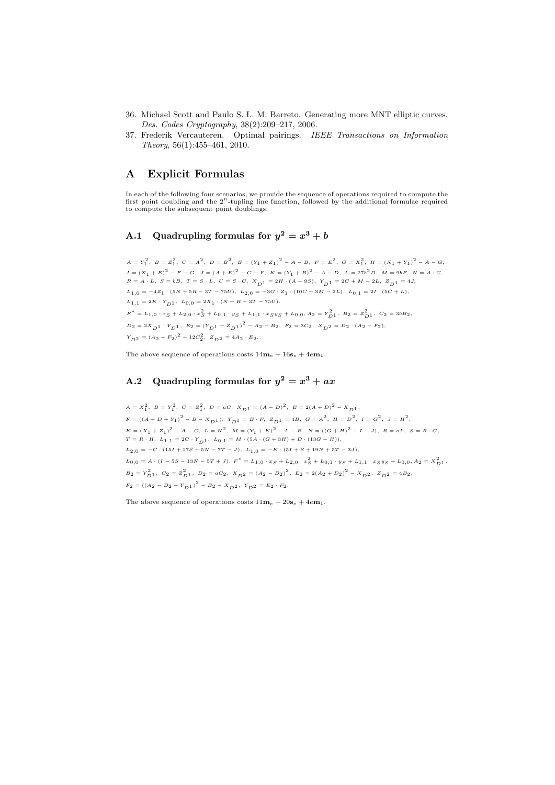- 36. Michael Scott and Paulo S. L. M. Barreto. Generating more MNT elliptic curves. Des. Codes Cryptography, 38(2):209–217, 2006.
- 37. Frederik Vercauteren. Optimal pairings. IEEE Transactions on Information Theory, 56(1):455–461, 2010.

# A Explicit Formulas

In each of the following four scenarios, we provide the sequence of operations required to compute the first point doubling and the  $2^n$ -tupling line function, followed by the additional formulae required to compute the subsequent point doublings.

# A.1 Quadrupling formulas for  $y^2 = x^3 + b$

 $A = Y_1^2$ ,  $B = Z_1^2$ ,  $C = A^2$ ,  $D = B^2$ ,  $E = (Y_1 + Z_1)^2 - A - B$ ,  $F = E^2$ ,  $G = X_1^2$ ,  $H = (X_1 + Y_1)^2 - A - G$ ,  $I = (X_1 + E)^2 - F - G$ ,  $J = (A + E)^2 - C - F$ ,  $K = (Y_1 + B)^2 - A - D$ ,  $L = 27b^2D$ ,  $M = 9bF$ ,  $N = A \cdot C$ ,  $R = A \cdot L$ ,  $S = bB$ ,  $T = S \cdot L$ ,  $U = S \cdot C$ ,  $X_{D1} = 2H \cdot (A - 9S)$ ,  $Y_{D1} = 2C + M - 2L$ ,  $Z_{D1} = 4J$ ,  $L_{1,0} = -4Z_1 \cdot (5N + 5R - 3T - 75U), \ L_{2,0} = -3G \cdot Z_1 \cdot (10C + 3M - 2L), \ L_{0,1} = 2I \cdot (5C + L),$  $L_{1,1} = 2K \cdot Y_{D1}, L_{0,0} = 2X_1 \cdot (N + R - 3T - 75U).$  $\label{eq:4.10} \boldsymbol{F}^* = \boldsymbol{L}_{1,0} \cdot \boldsymbol{x}_S + \boldsymbol{L}_{2,0} \cdot \boldsymbol{x}_S^2 + \boldsymbol{L}_{0,1} \cdot \boldsymbol{y}_S + \boldsymbol{L}_{1,1} \cdot \boldsymbol{x}_S \boldsymbol{y}_S + \boldsymbol{L}_{0,0}, \\ \boldsymbol{A}_2 = \boldsymbol{Y}_{D}^2 \boldsymbol{1}, \ \boldsymbol{B}_2 = \boldsymbol{Z}_{D}^2 \boldsymbol{1}, \ \boldsymbol{C}_2 = 3 b \boldsymbol{B}_2,$  $D_2 = 2 X_{D1} \, \cdot \, Y_{D1} \, , \ \ E_2 = \left( Y_{D1} + Z_{D1} \right)^2 - A_2 - B_2, \ \ F_2 = 3 C_2, \ \ X_{D2} = D_2 \, \cdot \, (A_2 - F_2),$  $Y_{D2} = (A_2 + F_2)^2 - 12C_2^2$ ,  $Z_{D2} = 4A_2 \cdot E_2$ .

The above sequence of operations costs  $14m_e + 16s_e + 4em_1$ .

# A.2 Quadrupling formulas for  $y^2 = x^3 + ax$

 $A = X_1^2$ ,  $B = Y_1^2$ ,  $C = Z_1^2$ ,  $D = aC$ ,  $X_{D1} = (A - D)^2$ ,  $E = 2(A + D)^2 - X_{D1}$ ,  $F = ((A - D + Y_1)^2 - B - X_{D1}), Y_{D1} = E \cdot F, Z_{D1} = 4B, G = A^2, H = D^2, I = G^2, J = H^2,$  $K = (X_1 + Z_1)^2 - A - C$ ,  $L = K^2$ ,  $M = (Y_1 + K)^2 - L - B$ ,  $N = ((G + H)^2 - I - J)$ ,  $R = aL$ ,  $S = R \cdot G$ ,  $T = R \cdot H, L_{1,1} = 2C \cdot Y_{D1}, L_{0,1} = M \cdot (5A \cdot (G + 3H) + D \cdot (13G - H)),$  $L_{2,0} = -C \cdot (15I + 17S + 5N - 7T - J), L_{1,0} = -K \cdot (5I + S + 19N + 5T - 3J),$  $L_{0,0}=A\cdot(I-5S-13N-5T+J).\ \ F^*=L_{1,0}\cdot x_S+L_{2,0}\cdot x_S^2+L_{0,1}\cdot y_S+L_{1,1}\cdot x_Sy_S+L_{0,0}, A_2=X_{D1}^2,$  $B_2=Y_{D1}^2\,,\;\; C_2=Z_{D1}^2\,,\;\; D_2=aC_2,\;\; X_{D2}=(A_2-D_2)^2,\;\; E_2=2(A_2+D_2)^2-X_{D2}\,,\;\; Z_{D2}=4B_2,$  $F_2 = ((A_2 - D_2 + Y_{D1})^2 - B_2 - X_{D2}, Y_{D2} = E_2 \cdot F_2.$ 

The above sequence of operations costs  $11\mathbf{m}_e + 20\mathbf{s}_e + 4e\mathbf{m}_1$ .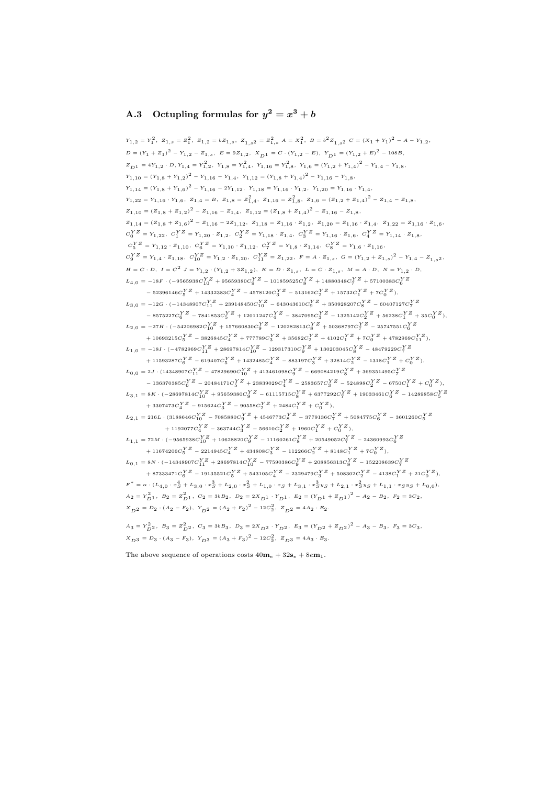## A.3 Octupling formulas for  $y^2 = x^3 + b$

 $Y_{1,2}=Y_1^2,\ \ Z_{1,s}=Z_1^2,\ \ Z_{1,2}=bZ_{1,s},\ \ Z_{1,s^2}=Z_{1,s}^2\ \ A=X_1^2,\ \ B=b^2Z_{1,s^2}\ \ C=(X_1+Y_1)^2-A-Y_{1,2},$  $D = \left(Y_1 + Z_1\right)^2 - Y_{1,2} - Z_{1,s}, \ \ E = 9 Z_{1,2}, \ \ X_{D^1} = C \cdot \left(Y_{1,2} - E\right), \ \ Y_{D^1} = \left(Y_{1,2} + E\right)^2 - 108 B,$  $Z_{D^1} = 4 Y_{1,2} \cdot D, Y_{1,4} = Y_{1,2}^2, \ Y_{1,8} = Y_{1,4}^2, \ Y_{1,16} = Y_{1,8}^2, \ Y_{1,6} = (Y_{1,2} + Y_{1,4})^2 - Y_{1,4} - Y_{1,8},$  $Y_{1,10} = (Y_{1,8} + Y_{1,2})^2 - Y_{1,16} - Y_{1,4}$ ,  $Y_{1,12} = (Y_{1,8} + Y_{1,4})^2 - Y_{1,16} - Y_{1,8}$ ,  $Y_{1,14} = (Y_{1,8} + Y_{1,6})^2 - Y_{1,16} - 2Y_{1,12}, Y_{1,18} = Y_{1,16} \cdot Y_{1,2}, Y_{1,20} = Y_{1,16} \cdot Y_{1,4}$  $Y_{1,22} = Y_{1,16} \cdot Y_{1,6}, \ \ Z_{1,4} = B, \ \ Z_{1,8} = Z_{1,4}^2, \ \ Z_{1,16} = Z_{1,8}^2, \ \ Z_{1,6} = (Z_{1,2} + Z_{1,4})^2 - Z_{1,4} - Z_{1,8},$  $Z_{1,10} = (Z_{1,8} + Z_{1,2})^2 - Z_{1,16} - Z_{1,4}$ ,  $Z_{1,12} = (Z_{1,8} + Z_{1,4})^2 - Z_{1,16} - Z_{1,8}$ ,  $Z_{1,14} = (Z_{1,8} + Z_{1,6})^2 - Z_{1,16} - 2Z_{1,12}, Z_{1,18} = Z_{1,16} \cdot Z_{1,2}, Z_{1,20} = Z_{1,16} \cdot Z_{1,4}, Z_{1,22} = Z_{1,16} \cdot Z_{1,6},$  $C_0^{YZ} = {\bf Y}_{1,22}, \ \ C_1^{YZ} = {\bf Y}_{1,20}\cdot{\bf Z}_{1,2}, \ \ C_2^{YZ} = {\bf Y}_{1,18}\cdot{\bf Z}_{1,4}, \ \ C_3^{YZ} = {\bf Y}_{1,16}\cdot{\bf Z}_{1,6}, \ \ C_4^{YZ} = {\bf Y}_{1,14}\cdot{\bf Z}_{1,8},$  $C_5^{YZ} = {\bf Y}_{1,12}\cdot{\bf Z}_{1,10}, \ \ C_6^{YZ} = {\bf Y}_{1,10}\cdot{\bf Z}_{1,12}, \ \ C_7^{YZ} = {\bf Y}_{1,8}\cdot{\bf Z}_{1,14}, \ \ C_8^{YZ} = {\bf Y}_{1,6}\cdot{\bf Z}_{1,16},$  $C_9^{YZ} = {\bf Y}_{1,4}\cdot{\bf Z}_{1,18},~~ C_{10}^{YZ} = {\bf Y}_{1,2}\cdot{\bf Z}_{1,20},~~ C_{11}^{YZ} = {\bf Z}_{1,22},~~{\bf F}={\bf A}\cdot{\bf Z}_{1,s},~~{\bf G} = (Y_{1,2}+{\bf Z}_{1,s})^2-{\bf Y}_{1,4}-{\bf Z}_{1,s^2},~~ C_{10} = (Y_{1,2}+{\bf Z}_{1,s})^2+{\bf Y}_{1,5}$  $H\,=\,C\,\cdot\,D\,,~~I\,=\,C^{\,2}\,\,J\,=\,Y_{\,1\,,\,2}\,\cdot\,(Y_{\,1\,,\,2}\,+\,3\,Z_{\,1\,,\,2}\,),~~K\,=\,D\,\cdot\,Z_{\,1\,,\,s}\,,~~L\,=\,C\,\cdot\,Z_{\,1\,,\,s}\,,~~M\,=\,A\,\cdot\,D\,,~~N\,=\,Y_{\,1\,,\,2}\,\cdot\,D\,,$  $L_{4,0} = -18F \cdot (-9565938C_{10}^{YZ} + 95659380C_9^{YZ} - 101859525C_8^{YZ} + 14880348C_7^{YZ} + 57100383C_6^{YZ})$  $-\; 52396146C_5^{YZ}+14332383C_4^{YZ}-4578120C_3^{YZ}-513162C_2^{YZ}+15732C_1^{YZ}+7C_0^{YZ}),$  $L_{3,0} = -12G \cdot (-14348907 C_{11}^{YZ} + 239148450 C_{10}^{YZ} - 643043610 C_9^{YZ} + 350928207 C_8^{YZ} - 60407127 C_7^{YZ}$  $-\ 8575227 C_6^{YZ} - 7841853 C_5^{YZ} + 12011247 C_4^{YZ} - 3847095 C_3^{YZ} - 1325142 C_2^{YZ} + 56238 C_1^{YZ} + 35 C_0^{YZ}),$  $L_{2,0} = -27H \cdot (-54206982C_{10}^{YZ} + 157660830C_{9}^{YZ} - 120282813C_{8}^{YZ} + 50368797C_{7}^{YZ} - 25747551C_{6}^{YZ})$  $+\ 10693215C_5^{YZ} - 3826845C_4^{YZ} + 777789C_3^{YZ} + 35682C_2^{YZ} + 4102C_1^{YZ} + 7C_0^{YZ} + 4782969C_{11}^{YZ}),$  $L_{1,0} = -18I \cdot (-4782969C_{11}^{YZ} + 28697814C_{10}^{YZ} - 129317310C_9^{YZ} + 130203045C_8^{YZ} - 48479229C_7^{YZ})$  $+ 11593287C_6^{YZ} - 619407C_5^{YZ} + 1432485C_4^{YZ} - 883197C_3^{YZ} + 32814C_2^{YZ} - 1318C_1^{YZ} + C_0^{YZ}$  $L_{0,0} = 2J\cdot(14348907C_{11}^{YZ} - 47829690C_{10}^{YZ} + 413461098C_9^{YZ} - 669084219C_8^{YZ} + 369351495C_7^{YZ})$  $-\ 136370385C_6^{YZ} - 20484171C_5^{YZ} + 23839029C_4^{YZ} - 2583657C_3^{YZ} - 524898C_2^{YZ} - 6750C_1^{YZ} + C_0^{YZ}),$  $L_{3,1} = 8K \cdot (-28697814 C_{10}^{YZ} + 95659380 C_{9}^{YZ} - 61115715 C_{8}^{YZ} + 6377292 C_{7}^{YZ} + 19033461 C_{6}^{YZ} - 14289858 C_{5}^{YZ} - 16115715 C_{8}^{ZZ} - 16142896 C_{9}^{ZZ} - 16166 C_{10}^{ZZ} - 16166 C_{11}^{ZZ} - 16166 C_{12}^{ZZ} - 16166 C_{13}^{ZZ} - 16166 C_{14}^{$  $+\ 3307473C_4^{YZ} - 915624C_3^{YZ} - 90558C_2^{YZ} + 2484C_1^{YZ} + C_0^{YZ}),$  $L_{2,1} = 216L \cdot (3188646 C_{10}^{YZ} - 7085880 C_9^{YZ} + 4546773 C_8^{YZ} - 3779136 C_7^{YZ} + 5084775 C_6^{YZ} - 3601260 C_5^{YZ} )$  $+\ 1192077C_4^{YZ} - 363744C_3^{YZ} - 56610C_2^{YZ} + 1960C_1^{YZ} + C_0^{YZ}),$  $L_{1,1} = 72M \cdot (-9565938C_{10}^{YZ} + 10628820C_{9}^{YZ} - 11160261C_{8}^{YZ} + 20549052C_{7}^{YZ} - 24360993C_{6}^{YZ})$  $+\ 11674206C_5^{YZ} - 2214945C_4^{YZ} + 434808C_3^{YZ} - 112266C_2^{YZ} + 8148C_1^{YZ} + 7C_0^{YZ}),$  $L_{0,1} = 8N \cdot (-14348907 C_{11}^{YZ} + 28697814 C_{10}^{YZ} - 77590386 C_9^{YZ} + 208856313 C_8^{YZ} - 152208639 C_7^{YZ}$  $+\ 87333471C_6^{YZ} -19135521C_5^{YZ} +543105C_4^{YZ} -2329479C_3^{YZ} +508302C_2^{YZ} -4138C_1^{YZ} +21C_0^{YZ}),$  $\label{eq:4.10} \boldsymbol{F}^*=\alpha\cdot(L_{4,0}\cdot\boldsymbol{x}_S^4+L_{3,0}\cdot\boldsymbol{x}_S^3+L_{2,0}\cdot\boldsymbol{x}_S^2+L_{1,0}\cdot\boldsymbol{x}_S+L_{3,1}\cdot\boldsymbol{x}_S^3\boldsymbol{y}_S+L_{2,1}\cdot\boldsymbol{x}_S^2\boldsymbol{y}_S+L_{1,1}\cdot\boldsymbol{x}_S\boldsymbol{y}_S+L_{0,0}),$  $A_2=Y_{D1}^2\,,\;\;B_2=Z_{D1}^2\,,\;\;C_2=3bB_2\,,\;\;D_2=2X_{D1}\,\cdot\,Y_{D1}\,,\;\;E_2={(Y_{D1}+Z_{D1})}^2-A_2-B_2,\;\;F_2=3C_2\,,$  $X_{D2} = D_2 \cdot (A_2 - F_2), \ Y_{D2} = (A_2 + F_2)^2 - 12C_2^2, \ Z_{D2} = 4A_2 \cdot E_2.$  $A_3=Y_{D^2}^2, \ \ B_3=Z_{D^2}^2, \ \ C_3=3bB_3, \ \ D_3=2X_{D^2}\cdot Y_{D^2}, \ \ E_3=(Y_{D^2}+Z_{D^2})^2-A_3-B_3, \ \ F_3=3C_3,$ 

 $X_{D3} = D_3 \cdot (A_3 - F_3), Y_{D3} = (A_3 + F_3)^2 - 12C_3^2, Z_{D3} = 4A_3 \cdot E_3.$ 

The above sequence of operations costs  $40\mathbf{m}_e + 32\mathbf{s}_e + 8\mathbf{e}\mathbf{m}_1$ .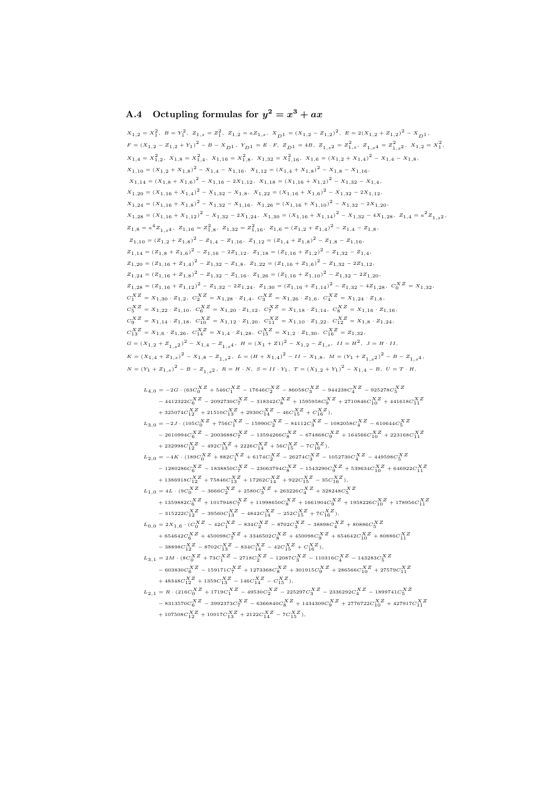## A.4 Octupling formulas for  $y^2 = x^3 + ax$

 $x_{1,2} = x_1^2$ ,  $B = Y_1^2$ ,  $z_{1,s} = z_1^2$ ,  $z_{1,2} = a z_{1,s}$ ,  $x_{D1} = (x_{1,2} - z_{1,2})^2$ ,  $E = 2(x_{1,2} + z_{1,2})^2 - x_{D1}$ ,  $F = \left( x_{1,2} - z_{1,2} + r_1 \right)^2 - B - x_{D^1}, \ \ Y_{D^1} = E \cdot F, \ \ Z_{D^1} = 4B, \ \ Z_{1,s^2} = Z_{1,s}^2, \ \ Z_{1,s^4} = Z_{1,s^2}^2, \ \ X_{1,2} = x_1^2,$  $x_{1,4} = x_{1,2}^2$ ,  $x_{1,8} = x_{1,4}^2$ ,  $x_{1,16} = x_{1,8}^2$ ,  $x_{1,32} = x_{1,16}^2$ ,  $x_{1,6} = (x_{1,2} + x_{1,4})^2 - x_{1,4} - x_{1,8}$ ,  $X_{1,10} = (X_{1,2} + X_{1,8})^2 - X_{1,4} - X_{1,16}, \ X_{1,12} = (X_{1,4} + X_{1,8})^2 - X_{1,8} - X_{1,16},$  $X_{1,14} = (X_{1,8} + X_{1,6})^2 - X_{1,16} - 2X_{1,12}, X_{1,18} = (X_{1,16} + X_{1,2})^2 - X_{1,32} - X_{1,4}$  $X_{1,20} = (X_{1,16} + X_{1,4})^2 - X_{1,32} - X_{1,8}, \ X_{1,22} = (X_{1,16} + X_{1,6})^2 - X_{1,32} - 2X_{1,12},$  $X_{1,24} = (X_{1,16} + X_{1,8})^2 - X_{1,32} - X_{1,16}, \ X_{1,26} = (X_{1,16} + X_{1,10})^2 - X_{1,32} - 2X_{1,20},$  $x_{1,28} = (x_{1,16} + x_{1,12})^2 - x_{1,32} - 2x_{1,24}, \ x_{1,30} = (x_{1,16} + x_{1,14})^2 - x_{1,32} - 4x_{1,28}, \ z_{1,4} = a^2 z_{1,s^2},$  $\label{eq:z11} Z_{1,8} = a^4 Z_{1,s^4}, \ \ Z_{1,16} = Z_{1,8}^2, \ \ Z_{1,32} = Z_{1,16}^2, \ \ Z_{1,6} = (Z_{1,2} + Z_{1,4})^2 - Z_{1,4} - Z_{1,8},$  $Z_{1,10} = (Z_{1,2} + Z_{1,8})^2 - Z_{1,4} - Z_{1,16}, \ Z_{1,12} = (Z_{1,4} + Z_{1,8})^2 - Z_{1,8} - Z_{1,16},$  $Z_{1,14} = (Z_{1,8} + Z_{1,6})^2 - Z_{1,16} - 2Z_{1,12}, Z_{1,18} = (Z_{1,16} + Z_{1,2})^2 - Z_{1,32} - Z_{1,4}$  $z_{1,20} = (z_{1,16} + z_{1,4})^2 - z_{1,32} - z_{1,8}, \ z_{1,22} = (z_{1,16} + z_{1,6})^2 - z_{1,32} - z_{2,12}$  $Z_{1,24} = (Z_{1,16} + Z_{1,8})^2 - Z_{1,32} - Z_{1,16}, Z_{1,26} = (Z_{1,16} + Z_{1,10})^2 - Z_{1,32} - 2Z_{1,20},$  $z_{1,28} = (z_{1,16} + z_{1,12})^2 - z_{1,32} - 2z_{1,24}, \ z_{1,30} = (z_{1,16} + z_{1,14})^2 - z_{1,32} - 4z_{1,28}, \ C_0^{\overline{XZ}} = x_{1,32}$  $C_1^{XZ} = X_{1,30} \cdot Z_{1,2}, \ \ C_2^{XZ} = X_{1,28} \cdot Z_{1,4}, \ \ C_3^{XZ} = X_{1,26} \cdot Z_{1,6}, \ \ C_4^{XZ} = X_{1,24} \cdot Z_{1,8},$  $C_5^{XZ} = X_{1,22} \cdot Z_{1,10}, \ C_6^{XZ} = X_{1,20} \cdot Z_{1,12}, \ C_7^{XZ} = X_{1,18} \cdot Z_{1,14}, \ C_8^{XZ} = X_{1,16} \cdot Z_{1,16},$  $C_9^{XZ} = X_{1,14} \cdot Z_{1,18}, \ \ C_{10}^{XZ} = X_{1,12} \cdot Z_{1,20}, \ \ C_{11}^{XZ} = X_{1,10} \cdot Z_{1,22}, \ \ C_{12}^{XZ} = X_{1,8} \cdot Z_{1,24},$  $C_{13}^{XZ} = X_{1,6} \cdot Z_{1,26}, \ C_{14}^{XZ} = X_{1,4} \cdot Z_{1,28}, \ C_{15}^{XZ} = X_{1,2} \cdot Z_{1,30}, \ C_{16}^{XZ} = Z_{1,32},$  $G = (X_{1,2} + Z_{1,s2})^2 - X_{1,4} - Z_{1,s4}$ ,  $H = (X_1 + Z_1)^2 - X_{1,2} - Z_{1,s}$ ,  $II = H^2$ ,  $J = H \cdot II$ ,  $K = (X_{1,4} + Z_{1,s})^2 - X_{1,8} - Z_{1,s^2}, \ \ L = (H + X_{1,4})^2 - II - X_{1,8}, \ \ M = (Y_1 + Z_{1,s^2})^2 - B - Z_{1,s^4},$  $N = (Y_1 + Z_{1,s})^2 - B - Z_{1,s^2}, R = H \cdot N, S = II \cdot Y_1, T = (X_{1,2} + Y_1)^2 - X_{1,4} - B, U = T \cdot H,$  $L_{4,0} = -2G \cdot (63C_0^{XZ} + 546C_1^{XZ} - 17646C_2^{XZ} - 86058C_3^{XZ} - 944238C_4^{XZ} - 925278C_5^{XZ}$ 

 $-4412322C_6^{XZ} - 2092730C_7^{XZ} - 318342C_8^{XZ} + 1595958C_9^{XZ} + 2710846C_{10}^{XZ} + 441618C_{11}^{XZ}$  $+\ 325074C_{12}^{XZ}+21510C_{13}^{XZ}+2930C_{14}^{XZ}-46C_{15}^{XZ}+C_{16}^{XZ}\big),$  $L_{3,0} = -2J \cdot (105 C_0^{XZ} + 756 C_1^{XZ} - 15990 C_2^{XZ} - 84112 C_3^{XZ} - 1082058 C_4^{XZ} - 610644 C_5^{XZ}$  $-\; 2610994 C_6^{X\,Z} \; - \; 2003688 C_7^{X\,Z} \; - \; 13594266 C_8^{X\,Z} \; - \; 674868 C_9^{X\,Z} \; + \; 164566 C_{10}^{X\,Z} \; + \; 223168 C_{11}^{X\,Z}$  $+ 232998C_{12}^{XZ} - 492C_{13}^{XZ} + 2226C_{14}^{XZ} + 56C_{15}^{XZ} - 7C_{16}^{XZ}$  $L_{2,0} = -4K \cdot (189 C_0^{XZ} + 882 C_1^{XZ} + 6174 C_2^{XZ} - 26274 C_3^{XZ} - 1052730 C_4^{XZ} - 449598 C_5^{XZ}$  $-\ 1280286C_6^{XZ} - 1838850C_7^{XZ} - 23063794C_8^{XZ} - 1543290C_9^{XZ} + 539634C_{10}^{XZ} + 646922C_{11}^{XZ}$  $+\ 1386918C_{12}^{XZ} + 75846C_{13}^{XZ} + 17262C_{14}^{XZ} + 922C_{15}^{XZ} - 35C_{16}^{XZ} ),$  $L_{1,0} = 4 L \cdot (9 C_0^X {Z} \, - \, 3666 C_2^X {Z} \, + \, 2580 C_3^X {Z} \, + \, 263226 C_4^X {Z} \, + \, 328248 C_5^X {Z}$  $+\ 1359882C_6^{XZ} + 1017948C_7^{XZ} + 11998650C_8^{XZ} + 1661904C_9^{XZ} + 1958226C_{10}^{XZ} + 178956C_{11}^{XZ}$  $-\; 315222C_{12}^{XZ} \; - \; 39560C_{13}^{XZ} \; - \; 4842C_{14}^{XZ} \; - \; 252C_{15}^{XZ} \; + \; 7C_{16}^{XZ} \, ),$  $L_{0,0} = 2X_{1,6} \cdot (C_0^{\textstyle XZ} - 42C_1^{\textstyle XZ} - 834C_2^{\textstyle XZ} - 8702C_3^{\textstyle XZ} - 38898C_4^{\textstyle XZ} + 80886C_5^{\textstyle XZ}$  $+ 654642C_6^{XZ} + 450098C_7^{XZ} + 3346502C_8^{XZ} + 450098C_9^{XZ} + 654642C_{10}^{XZ} + 80886C_{11}^{XZ}$  $-\ 38898C_{12}^{XZ} \ - \ 8702C_{13}^{XZ} \ - \ 834C_{14}^{XZ} \ - \ 42C_{15}^{XZ} \ + \ C_{16}^{XZ} \,),$  $L_{3,1} = 2M \cdot (8C_0^{XZ} + 73C_1^{XZ} - 2718C_2^{XZ} - 12087C_3^{XZ} - 110316C_4^{XZ} - 143283C_5^{XZ}$  $-603830C_6^{XZ} - 159171C_7^{XZ} + 1273368C_8^{XZ} + 301915C_9^{XZ} + 286566C_{10}^{XZ} + 27579C_{11}^{XZ}$  $+\ 48348C_{12}^{XZ} + 1359C_{13}^{XZ} - 146C_{14}^{XZ} - C_{15}^{XZ} \,,$  $L_{2,1} = R \cdot (216 C_0^{XZ} + 1719 C_1^{XZ} - 49530 C_2^{XZ} - 225297 C_3^{XZ} - 2336292 C_4^{XZ} - 1899741 C_5^{XZ}$ 

 $-\; 8313570C_6^{X\,Z} \; - \; 3992373C_7^{X\,Z} \; - \; 6366840C_8^{X\,Z} \; + \; 1434309C_9^{X\,Z} \; + \; 2776722C_{10}^{X\,Z} \; + \; 427917C_{11}^{X\,Z}$  $+\ 107508C_{12}^{XZ} + 10017C_{13}^{XZ} + 2122C_{14}^{XZ} - 7C_{15}^{XZ} \big),$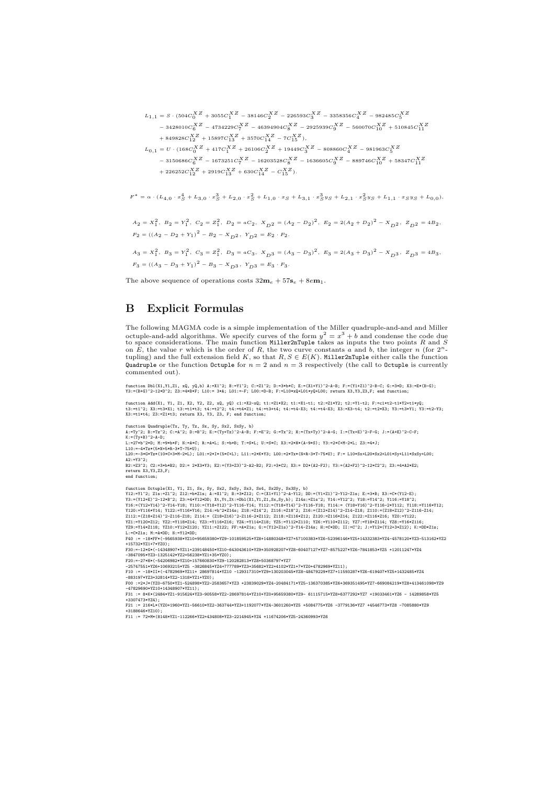```
L_{1,1} = S\cdot (504 C_0^{X\,Z} + 3055 C_1^{X\,Z} - 38146 C_2^{X\,Z} - 226593 C_3^{X\,Z} - 3358356 C_4^{X\,Z} - 982485 C_5^{X\,Z}-\ 3428010C_6^{XZ} \ - \ 4734229C_7^{XZ} \ - \ 46394904C_8^{XZ} \ - \ 2925939C_9^{XZ} \ - \ 560070C_{10}^{XZ} \ + \ 510845C_{11}^{XZ}+\ 849828C_{12}^{XZ} + 15897C_{13}^{XZ} + 3570C_{14}^{XZ} - 7C_{15}^{XZ} \big),L_{0,1} = U \cdot (168 C_0^{XZ} + 417 C_1^{XZ} + 26106 C_2^{XZ} + 19449 C_3^{XZ} - 808860 C_4^{XZ} - 981963 C_5^{XZ}-3150686C_6^{XZ} - 1673251C_7^{XZ} - 16203528C_8^{XZ} - 1636605C_9^{XZ} - 889746C_{10}^{XZ} + 58347C_{11}^{XZ}+ 226252C_{12}^{XZ} + 2919C_{13}^{XZ} + 630C_{14}^{XZ} - C_{15}^{XZ}
```

$$
F^*=\alpha\cdot (L_{4,0}\cdot x_S^4+L_{3,0}\cdot x_S^3+L_{2,0}\cdot x_S^2+L_{1,0}\cdot x_S+L_{3,1}\cdot x_S^3y_S+L_{2,1}\cdot x_S^2y_S+L_{1,1}\cdot x_Sy_S+L_{0,0}),
$$

 $A_2 = X_1^2$ ,  $B_2 = Y_1^2$ ,  $C_2 = Z_1^2$ ,  $D_2 = aC_2$ ,  $X_{D2} = (A_2 - D_2)^2$ ,  $E_2 = 2(A_2 + D_2)^2 - X_{D2}$ ,  $Z_{D2} = 4B_2$ ,  $F_2 = ((A_2 - D_2 + Y_1)^2 - B_2 - X_{D2}, Y_{D2} = E_2 \cdot F_2.$ 

 $A_3 = X_1^2$ ,  $B_3 = Y_1^2$ ,  $C_3 = Z_1^2$ ,  $D_3 = aC_3$ ,  $X_{D3} = (A_3 - D_3)^2$ ,  $E_3 = 2(A_3 + D_3)^2 - X_{D3}$ ,  $Z_{D3} = 4B_3$ ,  $F_3 = ((A_3 - D_3 + Y_1)^2 - B_3 - X_{D3}, Y_{D3} = E_3 \cdot F_3.$ 

The above sequence of operations costs  $32m_e + 57s_e + 8em_1$ .

# B Explicit Formulas

The following MAGMA code is a simple implementation of the Miller quadruple-and-and and Miller octuple-and-add algorithms. We specify curves of the form  $y^2 = x^3 + b$  and condense the code due<br>to space considerations. The main function Miller2nTuple takes as inputs the two points R and S on  $\hat{E}$ , the value r which is the order of R, the two curve constants a and b, the integer n (for  $2^n$ tupling) and the full extension field K, so that  $R, S \in E(K)$ . Miller2nTuple either calls the function Quadruple or the function Octuple for  $n = 2$  and  $n = 3$  respectively (the call to Octuple is currently commented out).

function Dbl(X1,Y1,Z1, xQ, yQ,b) A:=X1^2; B:=Y1^2; C:=Z1^2; D:=3\*b\*C; E:=(X1+Y1)^2-A-B; F:=(Y1+Z1)^2-B-C; G:=3\*D; X3:=E\*(B-G);<br>Y3:=(B+G)^2-12\*D^2; Z3:=4\*B\*F; L10:= 3\*A; L01:=-F; L00:=D-B; F:=L10\*xQ+L01\*yQ+L00; return X3,Y

function Add(X1, Y1, Z1, X2, Y2, Z2, xQ, yQ) c1:=X2-xQ; t1:=Z1+X2; t1:=X1-t1; t2:=Z1+Y2; t2:=Y1-t2; F:=c1+t2-t1+Y2+t1+yQ;<br>t3:=t1^2; X3:=t3\*X1; t3:=t1+t3; t4:=t2^2; t4:=t4+Z1; t4:=t3+t4; t4:=t4-X3; t4:=t4-X3; X3:=X3-t4; t2

function Quadruple(Tx, Ty, Tz, Sx, Sy, Sx2, SxSy, b)<br>A:=Ty~2; B:=Tz~2; C:=A^2; D:=B^2; E:=(Ty+Tz)^2-A-B; F:=E^2; G:=Tx^2; H:=(Tx+Ty)^2-A-G; I:=(Tx+E)^2-F-G; J:=(A+E)^2-C-F;<br>K:=(Ty+B)^2-A-D;<br>L:=27\*b^2\*D; M:=9\*b\*F; N:=A\*C;

L10:=-4\*Tz\*(5\*N+5\*R-3\*T-75\*U);

L20:=-3\*G\*Tz\*(10\*C+3\*M-2\*L); L01:=2\*I\*(5\*C+L); L11:=2\*K\*Y3; L00:=2\*Tx\*(N+R-3\*T-75\*U); F:= L10\*Sx+L20\*Sx2+L01\*Sy+L11\*SxSy+L00;

A2:=Y3^2;<br>B2:=Z3^2; C2:=3\*b\*B2; D2:= 2\*X3\*Y3; E2:=(Y3+Z3)^2-A2-B2; F2:=3\*C2; X3:= D2\*(A2-F2); Y3:=(A2+F2)^2-12\*C2^2; Z3:=4\*A2\*E2;<br>return X3,Y3,Z3,F; end function;

function Octuple(X1, Y1, Z1, Sx, Sy, Sx2, Sx3, Sx3, Sx4, Sx2, Sx3, Sx3, Sx3, D)<br>Y12:=Y1^2; Z1s:=Z1^2; Z12:=b\*Z1s; A:=X1^2; B:=S\*Z12; C:=(X1+Y1)^2-A-Y12; DD:=(Y1+Z1)^2-Y12-Z1s; E:=3\*B; X3:=C\*(Y12-E);<br>Y15:=(Y12+Y14)^2-T14-Y1 L:=C\*Zis; M:=A\*DD; N:=Y12\*DD;<br>F40 := -18\*FF\*(-9565938\*YZ10+95659380\*YZ9-101859525\*YZ8+14880348\*YZ7+57100383\*YZ6-52396146\*YZ5+14332383\*YZ4-4578120\*YZ3-513162\*YZ2<br>+15732\*YZ1+7\*YZ0);<br>F30:=-12\*G\*(-14348907\*YZ11+239148450\*YZ10

-3847095\*YZ3-1325142\*YZ2+56238\*YZ1+35\*YZ0);

-25747551\*YZ6+10693215\*YZ5 -3826845\*YZ4+777789\*YZ3+35682\*YZ2+4102\*YZ1+7\*YZ0+4782969\*YZ11); F10 := -18\*II\*(-4782969\*YZ11+ 28697814\*YZ10 -129317310\*YZ9+130203045\*YZ8-48479229\*YZ7+11593287\*YZ6-619407\*YZ5+1432485\*YZ4

-883197\*YZ3+32814\*YZ2-1318\*YZ1+YZ0);

F00 :=2\*J\*(YZ0-6750\*YZ1-524898\*YZ2-2583657\*YZ3 +23839029\*YZ4-20484171\*YZ5-136370385\*YZ6+369351495\*YZ7-669084219\*YZ8+413461098\*YZ9<br>-47829690\*YZ10+14348907\*YZ11);<br>F3107473\*YZ4);<br>+3307473\*YZ4);

F21 := 216\*L\*(YZ0+1960\*YZ1-56610\*YZ2-363744\*YZ3+1192077\*YZ4-3601260\*YZ5 +5084775\*YZ6 -3779136\*YZ7 +4546773\*YZ8 -7085880\*YZ9 +3188646\*YZ10);

F11 := 72\*M\*(8148\*YZ1-112266\*YZ2+434808\*YZ3-2214945\*YZ4 +11674206\*YZ5-24360993\*YZ6

F20:=-27\*H\*(-54206982\*YZ10+157660830\*YZ9-120282813\*YZ8+50368797\*YZ7